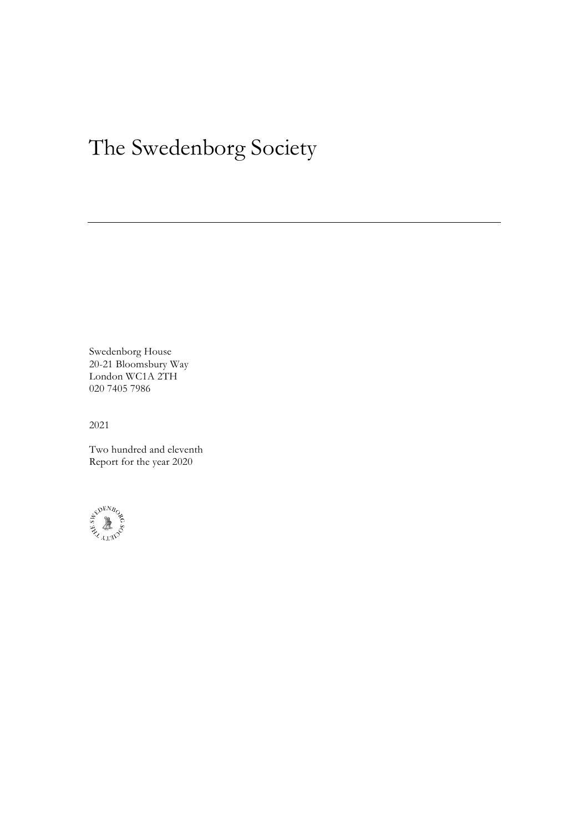# The Swedenborg Society

Swedenborg House 20-21 Bloomsbury Way London WC1A 2TH 020 7405 7986

2021

Two hundred and eleventh Report for the year 2020

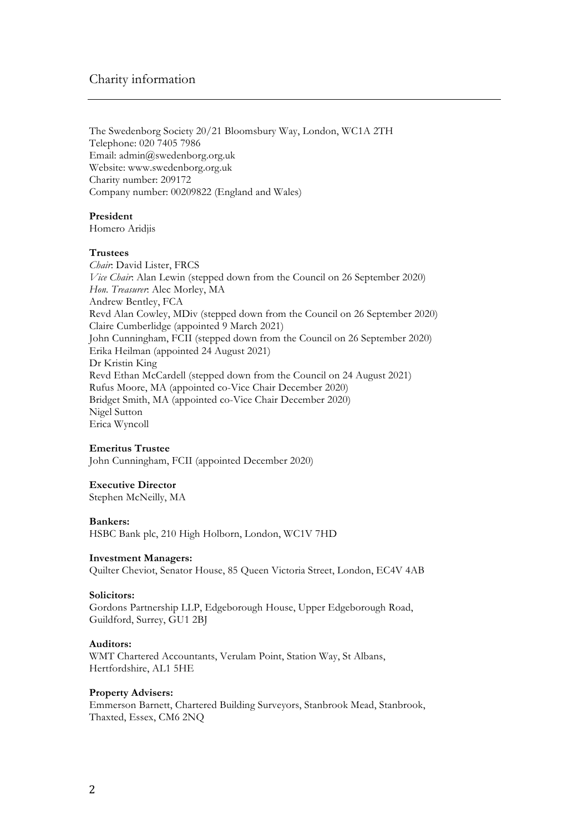### Charity information

The Swedenborg Society 20/21 Bloomsbury Way, London, WC1A 2TH Telephone: 020 7405 7986 Email: admin@swedenborg.org.uk Website: www.swedenborg.org.uk Charity number: 209172 Company number: 00209822 (England and Wales)

#### **President**

Homero Aridjis

#### **Trustees**

*Chair*: David Lister, FRCS *Vice Chair*: Alan Lewin (stepped down from the Council on 26 September 2020) *Hon. Treasurer*: Alec Morley, MA Andrew Bentley, FCA Revd Alan Cowley, MDiv (stepped down from the Council on 26 September 2020) Claire Cumberlidge (appointed 9 March 2021) John Cunningham, FCII (stepped down from the Council on 26 September 2020) Erika Heilman (appointed 24 August 2021) Dr Kristin King Revd Ethan McCardell (stepped down from the Council on 24 August 2021) Rufus Moore, MA (appointed co-Vice Chair December 2020) Bridget Smith, MA (appointed co-Vice Chair December 2020) Nigel Sutton Erica Wyncoll

#### **Emeritus Trustee**

John Cunningham, FCII (appointed December 2020)

#### **Executive Director**

Stephen McNeilly, MA

#### **Bankers:**

HSBC Bank plc, 210 High Holborn, London, WC1V 7HD

#### **Investment Managers:**

Quilter Cheviot, Senator House, 85 Queen Victoria Street, London, EC4V 4AB

#### **Solicitors:**

Gordons Partnership LLP, Edgeborough House, Upper Edgeborough Road, Guildford, Surrey, GU1 2BJ

#### **Auditors:**

WMT Chartered Accountants, Verulam Point, Station Way, St Albans, Hertfordshire, AL1 5HE

#### **Property Advisers:**

Emmerson Barnett, Chartered Building Surveyors, Stanbrook Mead, Stanbrook, Thaxted, Essex, CM6 2NQ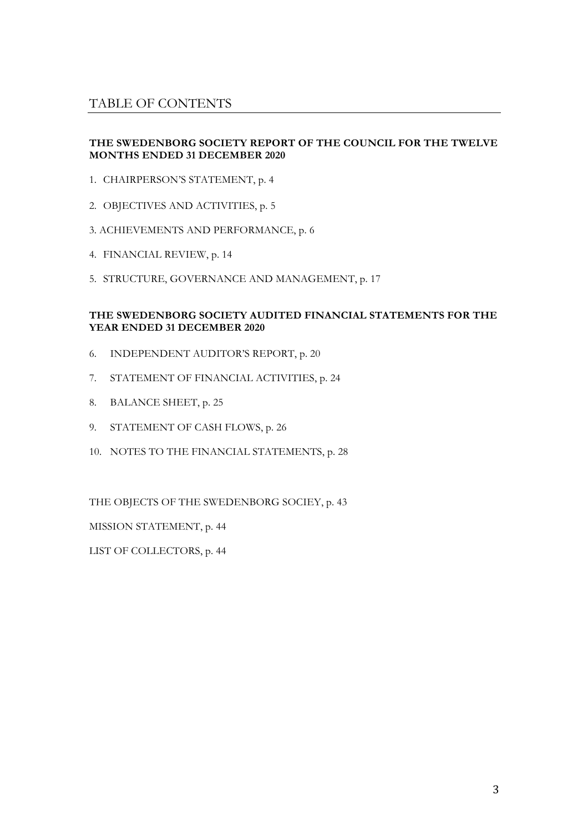### TABLE OF CONTENTS

### **THE SWEDENBORG SOCIETY REPORT OF THE COUNCIL FOR THE TWELVE MONTHS ENDED 31 DECEMBER 2020**

- 1. CHAIRPERSON'S STATEMENT, p. 4
- 2. OBJECTIVES AND ACTIVITIES, p. 5
- 3. ACHIEVEMENTS AND PERFORMANCE, p. 6
- 4. FINANCIAL REVIEW, p. 14
- 5. STRUCTURE, GOVERNANCE AND MANAGEMENT, p. 17

### **THE SWEDENBORG SOCIETY AUDITED FINANCIAL STATEMENTS FOR THE YEAR ENDED 31 DECEMBER 2020**

- 6. INDEPENDENT AUDITOR'S REPORT, p. 20
- 7. STATEMENT OF FINANCIAL ACTIVITIES, p. 24
- 8. BALANCE SHEET, p. 25
- 9. STATEMENT OF CASH FLOWS, p. 26
- 10. NOTES TO THE FINANCIAL STATEMENTS, p. 28

THE OBJECTS OF THE SWEDENBORG SOCIEY, p. 43

MISSION STATEMENT, p. 44

LIST OF COLLECTORS, p. 44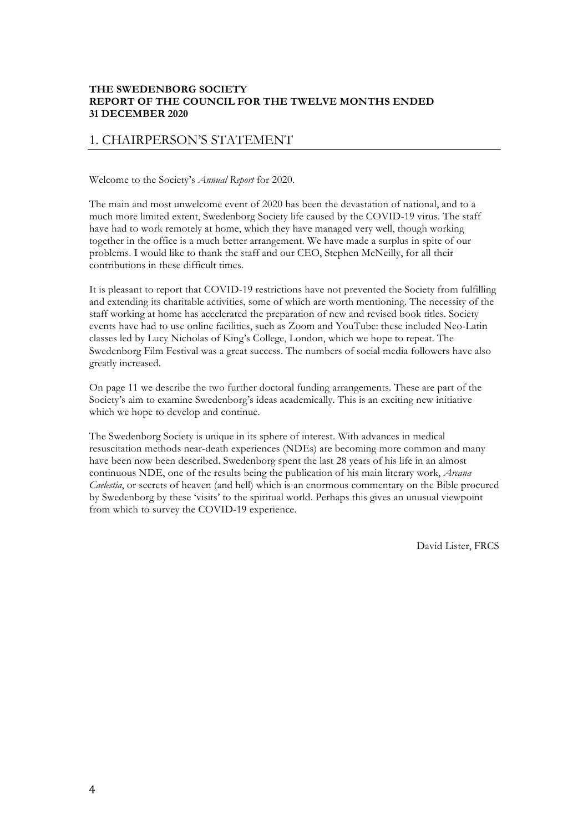### **THE SWEDENBORG SOCIETY REPORT OF THE COUNCIL FOR THE TWELVE MONTHS ENDED 31 DECEMBER 2020**

### 1. CHAIRPERSON'S STATEMENT

#### Welcome to the Society's *Annual Report* for 2020.

The main and most unwelcome event of 2020 has been the devastation of national, and to a much more limited extent, Swedenborg Society life caused by the COVID-19 virus. The staff have had to work remotely at home, which they have managed very well, though working together in the office is a much better arrangement. We have made a surplus in spite of our problems. I would like to thank the staff and our CEO, Stephen McNeilly, for all their contributions in these difficult times.

It is pleasant to report that COVID-19 restrictions have not prevented the Society from fulfilling and extending its charitable activities, some of which are worth mentioning. The necessity of the staff working at home has accelerated the preparation of new and revised book titles. Society events have had to use online facilities, such as Zoom and YouTube: these included Neo-Latin classes led by Lucy Nicholas of King's College, London, which we hope to repeat. The Swedenborg Film Festival was a great success. The numbers of social media followers have also greatly increased.

On page 11 we describe the two further doctoral funding arrangements. These are part of the Society's aim to examine Swedenborg's ideas academically. This is an exciting new initiative which we hope to develop and continue.

The Swedenborg Society is unique in its sphere of interest. With advances in medical resuscitation methods near-death experiences (NDEs) are becoming more common and many have been now been described. Swedenborg spent the last 28 years of his life in an almost continuous NDE, one of the results being the publication of his main literary work, *Arcana Caelestia*, or secrets of heaven (and hell) which is an enormous commentary on the Bible procured by Swedenborg by these 'visits' to the spiritual world. Perhaps this gives an unusual viewpoint from which to survey the COVID-19 experience.

David Lister, FRCS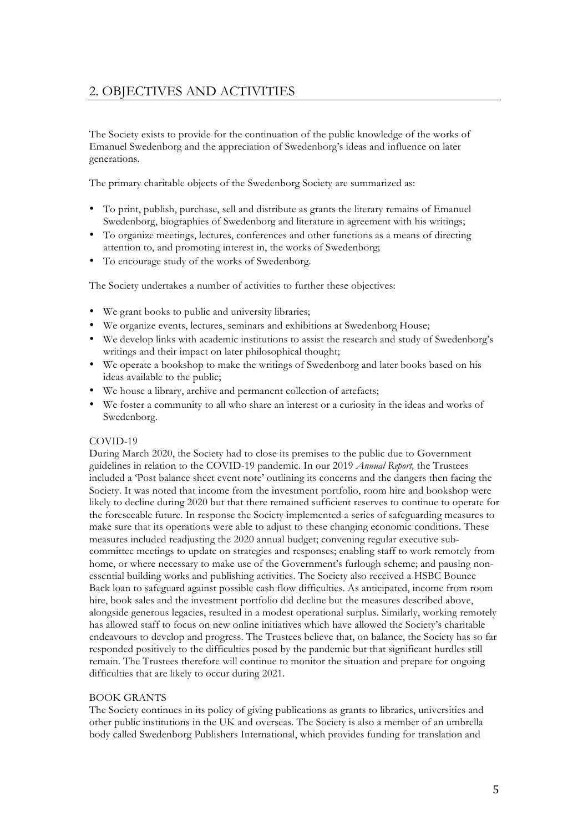# 2. OBJECTIVES AND ACTIVITIES

The Society exists to provide for the continuation of the public knowledge of the works of Emanuel Swedenborg and the appreciation of Swedenborg's ideas and influence on later generations.

The primary charitable objects of the Swedenborg Society are summarized as:

- To print, publish, purchase, sell and distribute as grants the literary remains of Emanuel Swedenborg, biographies of Swedenborg and literature in agreement with his writings;
- To organize meetings, lectures, conferences and other functions as a means of directing attention to, and promoting interest in, the works of Swedenborg;
- To encourage study of the works of Swedenborg.

The Society undertakes a number of activities to further these objectives:

- We grant books to public and university libraries;
- We organize events, lectures, seminars and exhibitions at Swedenborg House;
- We develop links with academic institutions to assist the research and study of Swedenborg's writings and their impact on later philosophical thought;
- We operate a bookshop to make the writings of Swedenborg and later books based on his ideas available to the public;
- We house a library, archive and permanent collection of artefacts;
- We foster a community to all who share an interest or a curiosity in the ideas and works of Swedenborg.

#### COVID-19

During March 2020, the Society had to close its premises to the public due to Government guidelines in relation to the COVID-19 pandemic. In our 2019 *Annual Report,* the Trustees included a 'Post balance sheet event note' outlining its concerns and the dangers then facing the Society. It was noted that income from the investment portfolio, room hire and bookshop were likely to decline during 2020 but that there remained sufficient reserves to continue to operate for the foreseeable future. In response the Society implemented a series of safeguarding measures to make sure that its operations were able to adjust to these changing economic conditions. These measures included readjusting the 2020 annual budget; convening regular executive subcommittee meetings to update on strategies and responses; enabling staff to work remotely from home, or where necessary to make use of the Government's furlough scheme; and pausing nonessential building works and publishing activities. The Society also received a HSBC Bounce Back loan to safeguard against possible cash flow difficulties. As anticipated, income from room hire, book sales and the investment portfolio did decline but the measures described above, alongside generous legacies, resulted in a modest operational surplus. Similarly, working remotely has allowed staff to focus on new online initiatives which have allowed the Society's charitable endeavours to develop and progress. The Trustees believe that, on balance, the Society has so far responded positively to the difficulties posed by the pandemic but that significant hurdles still remain. The Trustees therefore will continue to monitor the situation and prepare for ongoing difficulties that are likely to occur during 2021.

#### BOOK GRANTS

The Society continues in its policy of giving publications as grants to libraries, universities and other public institutions in the UK and overseas. The Society is also a member of an umbrella body called Swedenborg Publishers International, which provides funding for translation and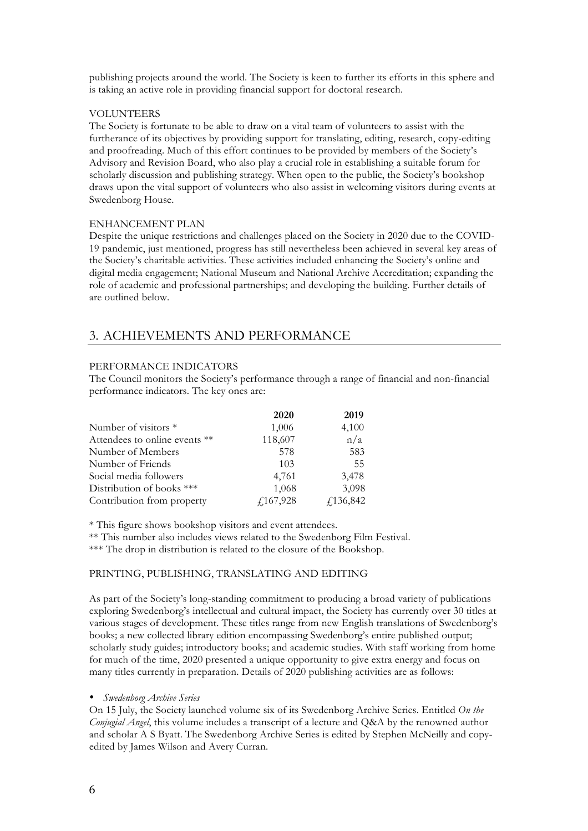publishing projects around the world. The Society is keen to further its efforts in this sphere and is taking an active role in providing financial support for doctoral research.

#### VOLUNTEERS

The Society is fortunate to be able to draw on a vital team of volunteers to assist with the furtherance of its objectives by providing support for translating, editing, research, copy-editing and proofreading. Much of this effort continues to be provided by members of the Society's Advisory and Revision Board, who also play a crucial role in establishing a suitable forum for scholarly discussion and publishing strategy. When open to the public, the Society's bookshop draws upon the vital support of volunteers who also assist in welcoming visitors during events at Swedenborg House.

#### ENHANCEMENT PLAN

Despite the unique restrictions and challenges placed on the Society in 2020 due to the COVID-19 pandemic, just mentioned, progress has still nevertheless been achieved in several key areas of the Society's charitable activities. These activities included enhancing the Society's online and digital media engagement; National Museum and National Archive Accreditation; expanding the role of academic and professional partnerships; and developing the building. Further details of are outlined below.

### 3. ACHIEVEMENTS AND PERFORMANCE

#### PERFORMANCE INDICATORS

The Council monitors the Society's performance through a range of financial and non-financial performance indicators. The key ones are:

|                                      | 2020                   | 2019        |
|--------------------------------------|------------------------|-------------|
| Number of visitors *                 | 1,006                  | 4,100       |
| Attendees to online events **        | 118,607                | n/a         |
| Number of Members                    | 578                    | 583         |
| Number of Friends                    | 103                    | 55          |
| Social media followers               | 4,761                  | 3,478       |
| Distribution of books <sup>***</sup> | 1,068                  | 3,098       |
| Contribution from property           | f <sub>.167</sub> ,928 | $f$ 136,842 |

\* This figure shows bookshop visitors and event attendees.

\*\* This number also includes views related to the Swedenborg Film Festival.

\*\*\* The drop in distribution is related to the closure of the Bookshop.

#### PRINTING, PUBLISHING, TRANSLATING AND EDITING

As part of the Society's long-standing commitment to producing a broad variety of publications exploring Swedenborg's intellectual and cultural impact, the Society has currently over 30 titles at various stages of development. These titles range from new English translations of Swedenborg's books; a new collected library edition encompassing Swedenborg's entire published output; scholarly study guides; introductory books; and academic studies. With staff working from home for much of the time, 2020 presented a unique opportunity to give extra energy and focus on many titles currently in preparation. Details of 2020 publishing activities are as follows:

#### • *Swedenborg Archive Series*

On 15 July, the Society launched volume six of its Swedenborg Archive Series. Entitled *On the Conjugial Angel*, this volume includes a transcript of a lecture and Q&A by the renowned author and scholar A S Byatt. The Swedenborg Archive Series is edited by Stephen McNeilly and copyedited by James Wilson and Avery Curran.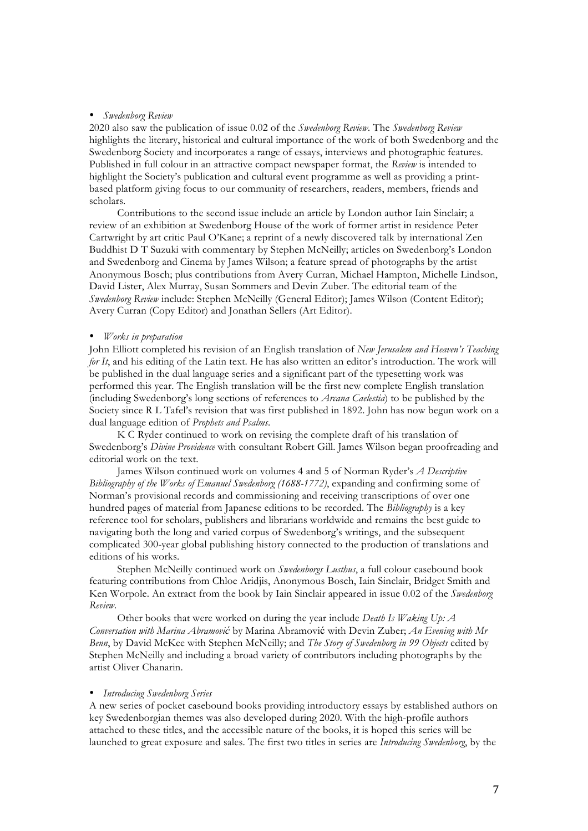#### • *Swedenborg Review*

2020 also saw the publication of issue 0.02 of the *Swedenborg Review.* The *Swedenborg Review* highlights the literary, historical and cultural importance of the work of both Swedenborg and the Swedenborg Society and incorporates a range of essays, interviews and photographic features. Published in full colour in an attractive compact newspaper format, the *Review* is intended to highlight the Society's publication and cultural event programme as well as providing a printbased platform giving focus to our community of researchers, readers, members, friends and scholars.

Contributions to the second issue include an article by London author Iain Sinclair; a review of an exhibition at Swedenborg House of the work of former artist in residence Peter Cartwright by art critic Paul O'Kane; a reprint of a newly discovered talk by international Zen Buddhist D T Suzuki with commentary by Stephen McNeilly; articles on Swedenborg's London and Swedenborg and Cinema by James Wilson; a feature spread of photographs by the artist Anonymous Bosch; plus contributions from Avery Curran, Michael Hampton, Michelle Lindson, David Lister, Alex Murray, Susan Sommers and Devin Zuber. The editorial team of the *Swedenborg Review* include: Stephen McNeilly (General Editor); James Wilson (Content Editor); Avery Curran (Copy Editor) and Jonathan Sellers (Art Editor).

#### • *Works in preparation*

John Elliott completed his revision of an English translation of *New Jerusalem and Heaven's Teaching for It*, and his editing of the Latin text. He has also written an editor's introduction. The work will be published in the dual language series and a significant part of the typesetting work was performed this year. The English translation will be the first new complete English translation (including Swedenborg's long sections of references to *Arcana Caelestia*) to be published by the Society since R L Tafel's revision that was first published in 1892. John has now begun work on a dual language edition of *Prophets and Psalms*.

K C Ryder continued to work on revising the complete draft of his translation of Swedenborg's *Divine Providence* with consultant Robert Gill. James Wilson began proofreading and editorial work on the text.

James Wilson continued work on volumes 4 and 5 of Norman Ryder's *A Descriptive Bibliography of the Works of Emanuel Swedenborg (1688-1772)*, expanding and confirming some of Norman's provisional records and commissioning and receiving transcriptions of over one hundred pages of material from Japanese editions to be recorded. The *Bibliography* is a key reference tool for scholars, publishers and librarians worldwide and remains the best guide to navigating both the long and varied corpus of Swedenborg's writings, and the subsequent complicated 300-year global publishing history connected to the production of translations and editions of his works.

Stephen McNeilly continued work on *Swedenborgs Lusthus*, a full colour casebound book featuring contributions from Chloe Aridjis, Anonymous Bosch, Iain Sinclair, Bridget Smith and Ken Worpole. An extract from the book by Iain Sinclair appeared in issue 0.02 of the *Swedenborg Review*.

Other books that were worked on during the year include *Death Is Waking Up: A Conversation with Marina Abramović* by Marina Abramović with Devin Zuber; *An Evening with Mr Benn*, by David McKee with Stephen McNeilly; and *The Story of Swedenborg in 99 Objects* edited by Stephen McNeilly and including a broad variety of contributors including photographs by the artist Oliver Chanarin.

#### • *Introducing Swedenborg Series*

A new series of pocket casebound books providing introductory essays by established authors on key Swedenborgian themes was also developed during 2020. With the high-profile authors attached to these titles, and the accessible nature of the books, it is hoped this series will be launched to great exposure and sales. The first two titles in series are *Introducing Swedenborg*, by the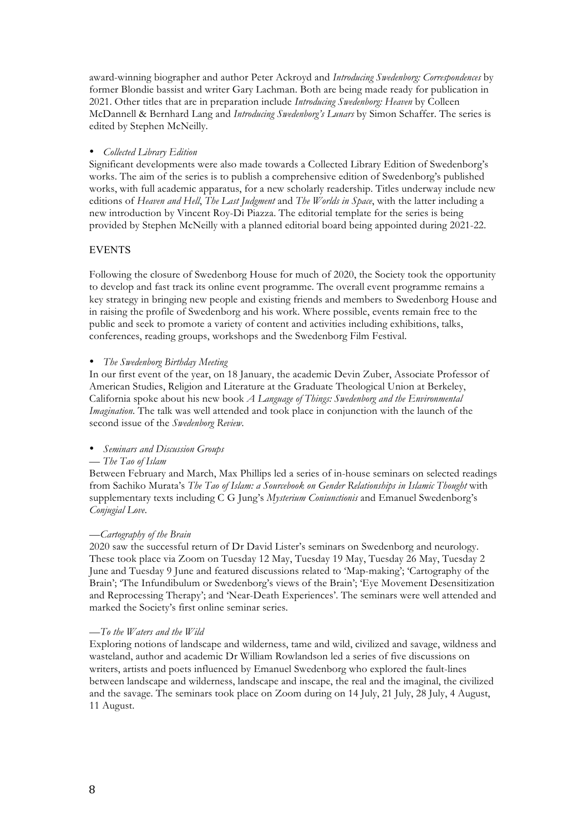award-winning biographer and author Peter Ackroyd and *Introducing Swedenborg: Correspondences* by former Blondie bassist and writer Gary Lachman. Both are being made ready for publication in 2021. Other titles that are in preparation include *Introducing Swedenborg: Heaven* by Colleen McDannell & Bernhard Lang and *Introducing Swedenborg's Lunars* by Simon Schaffer. The series is edited by Stephen McNeilly.

### • *Collected Library Edition*

Significant developments were also made towards a Collected Library Edition of Swedenborg's works. The aim of the series is to publish a comprehensive edition of Swedenborg's published works, with full academic apparatus, for a new scholarly readership. Titles underway include new editions of *Heaven and Hell*, *The Last Judgment* and *The Worlds in Space*, with the latter including a new introduction by Vincent Roy-Di Piazza. The editorial template for the series is being provided by Stephen McNeilly with a planned editorial board being appointed during 2021-22.

### EVENTS

Following the closure of Swedenborg House for much of 2020, the Society took the opportunity to develop and fast track its online event programme. The overall event programme remains a key strategy in bringing new people and existing friends and members to Swedenborg House and in raising the profile of Swedenborg and his work. Where possible, events remain free to the public and seek to promote a variety of content and activities including exhibitions, talks, conferences, reading groups, workshops and the Swedenborg Film Festival.

### • *The Swedenborg Birthday Meeting*

In our first event of the year, on 18 January, the academic Devin Zuber, Associate Professor of American Studies, Religion and Literature at the Graduate Theological Union at Berkeley, California spoke about his new book *A Language of Things: Swedenborg and the Environmental Imagination.* The talk was well attended and took place in conjunction with the launch of the second issue of the *Swedenborg Review.*

### • *Seminars and Discussion Groups*

#### *— The Tao of Islam*

Between February and March, Max Phillips led a series of in-house seminars on selected readings from Sachiko Murata's *The Tao of Islam: a Sourcebook on Gender Relationships in Islamic Thought* with supplementary texts including C G Jung's *Mysterium Coniunctionis* and Emanuel Swedenborg's *Conjugial Love*.

#### *—Cartography of the Brain*

2020 saw the successful return of Dr David Lister's seminars on Swedenborg and neurology. These took place via Zoom on Tuesday 12 May, Tuesday 19 May, Tuesday 26 May, Tuesday 2 June and Tuesday 9 June and featured discussions related to 'Map-making'; 'Cartography of the Brain'; 'The Infundibulum or Swedenborg's views of the Brain'; 'Eye Movement Desensitization and Reprocessing Therapy'; and 'Near-Death Experiences'. The seminars were well attended and marked the Society's first online seminar series.

#### —*To the Waters and the Wild*

Exploring notions of landscape and wilderness, tame and wild, civilized and savage, wildness and wasteland, author and academic Dr William Rowlandson led a series of five discussions on writers, artists and poets influenced by Emanuel Swedenborg who explored the fault-lines between landscape and wilderness, landscape and inscape, the real and the imaginal, the civilized and the savage. The seminars took place on Zoom during on 14 July, 21 July, 28 July, 4 August, 11 August.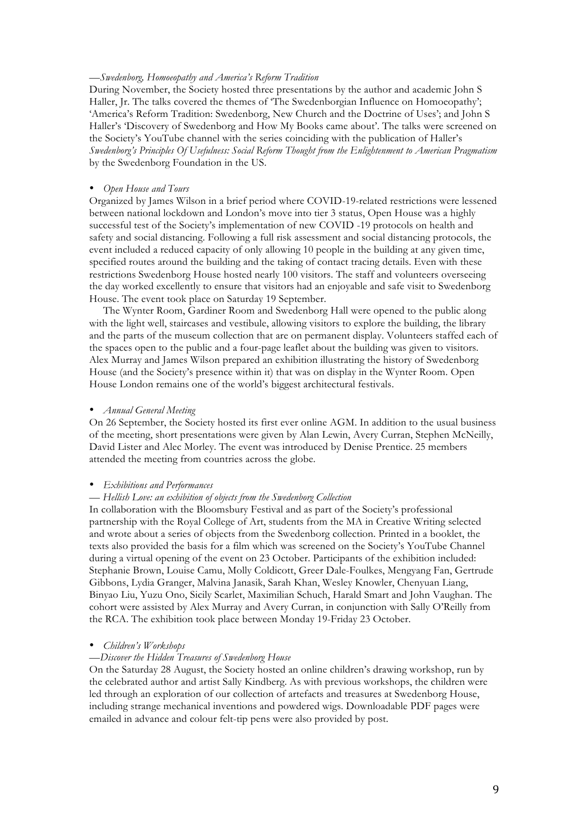#### —*Swedenborg, Homoeopathy and America's Reform Tradition*

During November, the Society hosted three presentations by the author and academic John S Haller, Jr. The talks covered the themes of 'The Swedenborgian Influence on Homoeopathy'; 'America's Reform Tradition: Swedenborg, New Church and the Doctrine of Uses'; and John S Haller's 'Discovery of Swedenborg and How My Books came about'. The talks were screened on the Society's YouTube channel with the series coinciding with the publication of Haller's *Swedenborg's Principles Of Usefulness: Social Reform Thought from the Enlightenment to American Pragmatism* by the Swedenborg Foundation in the US.

#### • *Open House and Tours*

Organized by James Wilson in a brief period where COVID-19-related restrictions were lessened between national lockdown and London's move into tier 3 status, Open House was a highly successful test of the Society's implementation of new COVID -19 protocols on health and safety and social distancing. Following a full risk assessment and social distancing protocols, the event included a reduced capacity of only allowing 10 people in the building at any given time, specified routes around the building and the taking of contact tracing details. Even with these restrictions Swedenborg House hosted nearly 100 visitors. The staff and volunteers overseeing the day worked excellently to ensure that visitors had an enjoyable and safe visit to Swedenborg House. The event took place on Saturday 19 September.

The Wynter Room, Gardiner Room and Swedenborg Hall were opened to the public along with the light well, staircases and vestibule, allowing visitors to explore the building, the library and the parts of the museum collection that are on permanent display. Volunteers staffed each of the spaces open to the public and a four-page leaflet about the building was given to visitors. Alex Murray and James Wilson prepared an exhibition illustrating the history of Swedenborg House (and the Society's presence within it) that was on display in the Wynter Room. Open House London remains one of the world's biggest architectural festivals.

#### • *Annual General Meeting*

On 26 September, the Society hosted its first ever online AGM. In addition to the usual business of the meeting, short presentations were given by Alan Lewin, Avery Curran, Stephen McNeilly, David Lister and Alec Morley. The event was introduced by Denise Prentice. 25 members attended the meeting from countries across the globe.

#### • *Exhibitions and Performances*

#### *— Hellish Love: an exhibition of objects from the Swedenborg Collection*

In collaboration with the Bloomsbury Festival and as part of the Society's professional partnership with the Royal College of Art, students from the MA in Creative Writing selected and wrote about a series of objects from the Swedenborg collection. Printed in a booklet, the texts also provided the basis for a film which was screened on the Society's YouTube Channel during a virtual opening of the event on 23 October. Participants of the exhibition included: Stephanie Brown, Louise Camu, Molly Coldicott, Greer Dale-Foulkes, Mengyang Fan, Gertrude Gibbons, Lydia Granger, Malvina Janasik, Sarah Khan, Wesley Knowler, Chenyuan Liang, Binyao Liu, Yuzu Ono, Sicily Scarlet, Maximilian Schuch, Harald Smart and John Vaughan. The cohort were assisted by Alex Murray and Avery Curran, in conjunction with Sally O'Reilly from the RCA. The exhibition took place between Monday 19-Friday 23 October.

#### • *Children's Workshops*

#### *—Discover the Hidden Treasures of Swedenborg House*

On the Saturday 28 August, the Society hosted an online children's drawing workshop, run by the celebrated author and artist Sally Kindberg. As with previous workshops, the children were led through an exploration of our collection of artefacts and treasures at Swedenborg House, including strange mechanical inventions and powdered wigs. Downloadable PDF pages were emailed in advance and colour felt-tip pens were also provided by post.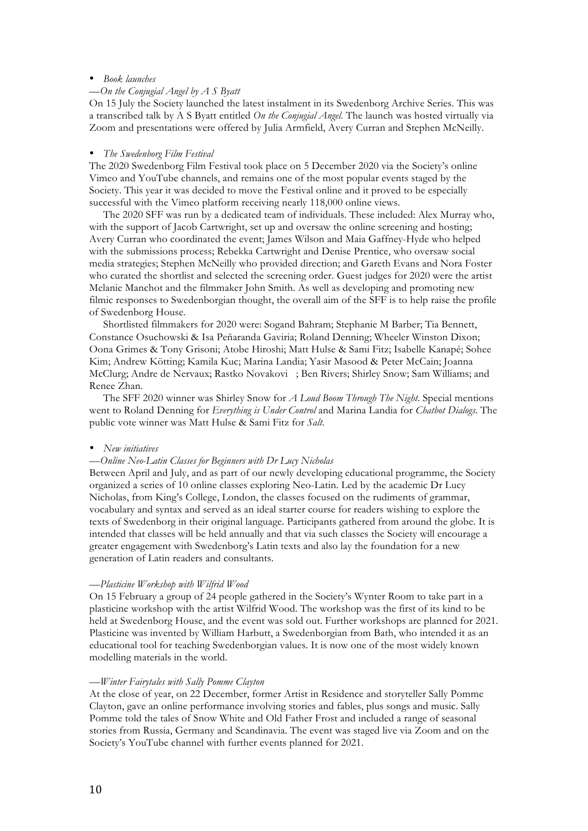#### • *Book launches*

#### *—On the Conjugial Angel by A S Byatt*

On 15 July the Society launched the latest instalment in its Swedenborg Archive Series. This was a transcribed talk by A S Byatt entitled *On the Conjugial Angel*. The launch was hosted virtually via Zoom and presentations were offered by Julia Armfield, Avery Curran and Stephen McNeilly.

#### • *The Swedenborg Film Festival*

The 2020 Swedenborg Film Festival took place on 5 December 2020 via the Society's online Vimeo and YouTube channels, and remains one of the most popular events staged by the Society. This year it was decided to move the Festival online and it proved to be especially successful with the Vimeo platform receiving nearly 118,000 online views.

The 2020 SFF was run by a dedicated team of individuals. These included: Alex Murray who, with the support of Jacob Cartwright, set up and oversaw the online screening and hosting; Avery Curran who coordinated the event; James Wilson and Maia Gaffney-Hyde who helped with the submissions process; Rebekka Cartwright and Denise Prentice, who oversaw social media strategies; Stephen McNeilly who provided direction; and Gareth Evans and Nora Foster who curated the shortlist and selected the screening order. Guest judges for 2020 were the artist Melanie Manchot and the filmmaker John Smith. As well as developing and promoting new filmic responses to Swedenborgian thought, the overall aim of the SFF is to help raise the profile of Swedenborg House.

Shortlisted filmmakers for 2020 were: Sogand Bahram; Stephanie M Barber; Tia Bennett, Constance Osuchowski & Isa Peñaranda Gaviria; Roland Denning; Wheeler Winston Dixon; Oona Grimes & Tony Grisoni; Atobe Hiroshi; Matt Hulse & Sami Fitz; Isabelle Kanapé; Sohee Kim; Andrew Kötting; Kamila Kuc; Marina Landia; Yasir Masood & Peter McCain; Joanna McClurg; Andre de Nervaux; Rastko Novakovi; Ben Rivers; Shirley Snow; Sam Williams; and Renee Zhan.

The SFF 2020 winner was Shirley Snow for *A Loud Boom Through The Night*. Special mentions went to Roland Denning for *Everything is Under Control* and Marina Landia for *Chatbot Dialogs*. The public vote winner was Matt Hulse & Sami Fitz for *Salt*.

#### • *New initiatives*

#### —*Online Neo-Latin Classes for Beginners with Dr Lucy Nicholas*

Between April and July, and as part of our newly developing educational programme, the Society organized a series of 10 online classes exploring Neo-Latin. Led by the academic Dr Lucy Nicholas, from King's College, London, the classes focused on the rudiments of grammar, vocabulary and syntax and served as an ideal starter course for readers wishing to explore the texts of Swedenborg in their original language. Participants gathered from around the globe. It is intended that classes will be held annually and that via such classes the Society will encourage a greater engagement with Swedenborg's Latin texts and also lay the foundation for a new generation of Latin readers and consultants.

#### *—Plasticine Workshop with Wilfrid Wood*

On 15 February a group of 24 people gathered in the Society's Wynter Room to take part in a plasticine workshop with the artist Wilfrid Wood. The workshop was the first of its kind to be held at Swedenborg House, and the event was sold out. Further workshops are planned for 2021. Plasticine was invented by William Harbutt, a Swedenborgian from Bath, who intended it as an educational tool for teaching Swedenborgian values. It is now one of the most widely known modelling materials in the world.

#### —*Winter Fairytales with Sally Pomme Clayton*

At the close of year, on 22 December, former Artist in Residence and storyteller Sally Pomme Clayton, gave an online performance involving stories and fables, plus songs and music. Sally Pomme told the tales of Snow White and Old Father Frost and included a range of seasonal stories from Russia, Germany and Scandinavia. The event was staged live via Zoom and on the Society's YouTube channel with further events planned for 2021.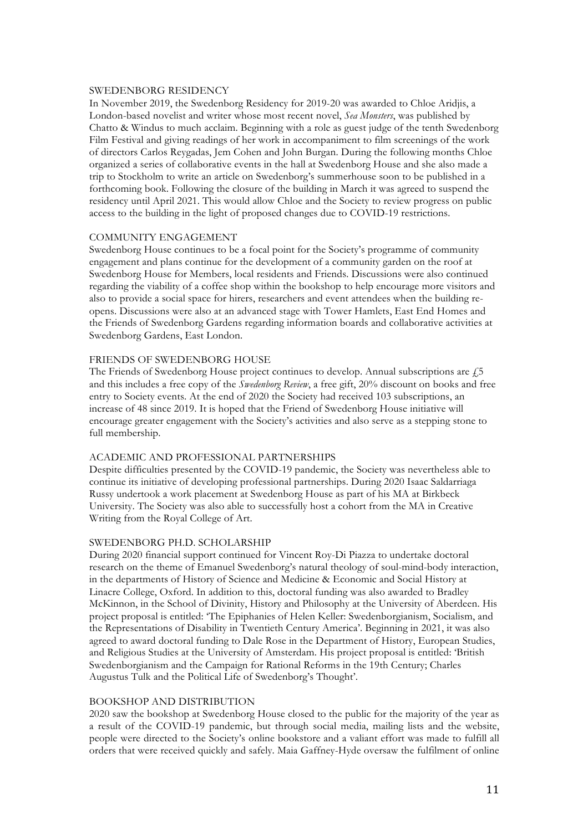#### SWEDENBORG RESIDENCY

In November 2019, the Swedenborg Residency for 2019-20 was awarded to Chloe Aridjis, a London-based novelist and writer whose most recent novel, *Sea Monsters*, was published by Chatto & Windus to much acclaim. Beginning with a role as guest judge of the tenth Swedenborg Film Festival and giving readings of her work in accompaniment to film screenings of the work of directors Carlos Reygadas, Jem Cohen and John Burgan. During the following months Chloe organized a series of collaborative events in the hall at Swedenborg House and she also made a trip to Stockholm to write an article on Swedenborg's summerhouse soon to be published in a forthcoming book. Following the closure of the building in March it was agreed to suspend the residency until April 2021. This would allow Chloe and the Society to review progress on public access to the building in the light of proposed changes due to COVID-19 restrictions.

#### COMMUNITY ENGAGEMENT

Swedenborg House continues to be a focal point for the Society's programme of community engagement and plans continue for the development of a community garden on the roof at Swedenborg House for Members, local residents and Friends. Discussions were also continued regarding the viability of a coffee shop within the bookshop to help encourage more visitors and also to provide a social space for hirers, researchers and event attendees when the building reopens. Discussions were also at an advanced stage with Tower Hamlets, East End Homes and the Friends of Swedenborg Gardens regarding information boards and collaborative activities at Swedenborg Gardens, East London.

#### FRIENDS OF SWEDENBORG HOUSE

The Friends of Swedenborg House project continues to develop. Annual subscriptions are  $f$ , 5 and this includes a free copy of the *Swedenborg Review*, a free gift, 20% discount on books and free entry to Society events. At the end of 2020 the Society had received 103 subscriptions, an increase of 48 since 2019. It is hoped that the Friend of Swedenborg House initiative will encourage greater engagement with the Society's activities and also serve as a stepping stone to full membership.

#### ACADEMIC AND PROFESSIONAL PARTNERSHIPS

Despite difficulties presented by the COVID-19 pandemic, the Society was nevertheless able to continue its initiative of developing professional partnerships. During 2020 Isaac Saldarriaga Russy undertook a work placement at Swedenborg House as part of his MA at Birkbeck University. The Society was also able to successfully host a cohort from the MA in Creative Writing from the Royal College of Art.

#### SWEDENBORG PH.D. SCHOLARSHIP

During 2020 financial support continued for Vincent Roy-Di Piazza to undertake doctoral research on the theme of Emanuel Swedenborg's natural theology of soul-mind-body interaction, in the departments of History of Science and Medicine & Economic and Social History at Linacre College, Oxford. In addition to this, doctoral funding was also awarded to Bradley McKinnon, in the School of Divinity, History and Philosophy at the University of Aberdeen. His project proposal is entitled: 'The Epiphanies of Helen Keller: Swedenborgianism, Socialism, and the Representations of Disability in Twentieth Century America'. Beginning in 2021, it was also agreed to award doctoral funding to Dale Rose in the Department of History, European Studies, and Religious Studies at the University of Amsterdam. His project proposal is entitled: 'British Swedenborgianism and the Campaign for Rational Reforms in the 19th Century; Charles Augustus Tulk and the Political Life of Swedenborg's Thought'.

### BOOKSHOP AND DISTRIBUTION

2020 saw the bookshop at Swedenborg House closed to the public for the majority of the year as a result of the COVID-19 pandemic, but through social media, mailing lists and the website, people were directed to the Society's online bookstore and a valiant effort was made to fulfill all orders that were received quickly and safely. Maia Gaffney-Hyde oversaw the fulfilment of online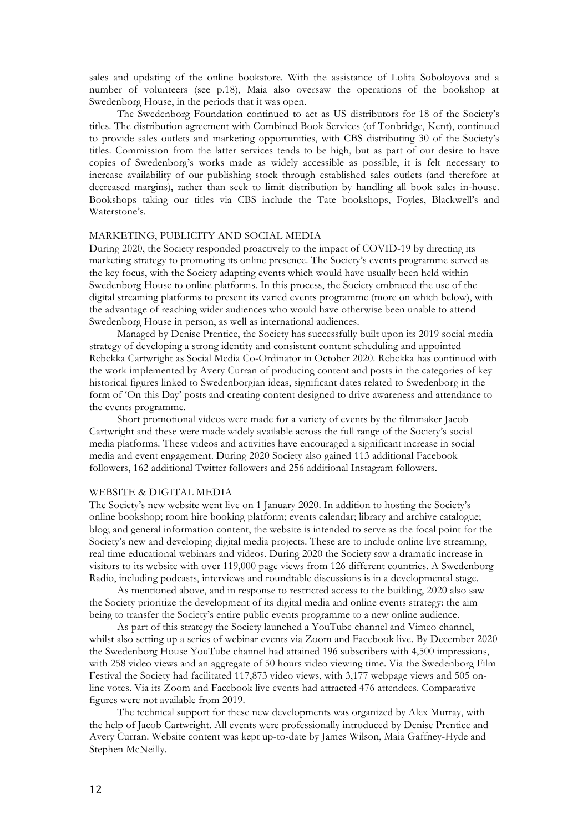sales and updating of the online bookstore. With the assistance of Lolita Soboloyova and a number of volunteers (see p.18), Maia also oversaw the operations of the bookshop at Swedenborg House, in the periods that it was open.

The Swedenborg Foundation continued to act as US distributors for 18 of the Society's titles. The distribution agreement with Combined Book Services (of Tonbridge, Kent), continued to provide sales outlets and marketing opportunities, with CBS distributing 30 of the Society's titles. Commission from the latter services tends to be high, but as part of our desire to have copies of Swedenborg's works made as widely accessible as possible, it is felt necessary to increase availability of our publishing stock through established sales outlets (and therefore at decreased margins), rather than seek to limit distribution by handling all book sales in-house. Bookshops taking our titles via CBS include the Tate bookshops, Foyles, Blackwell's and Waterstone's.

#### MARKETING, PUBLICITY AND SOCIAL MEDIA

During 2020, the Society responded proactively to the impact of COVID-19 by directing its marketing strategy to promoting its online presence. The Society's events programme served as the key focus, with the Society adapting events which would have usually been held within Swedenborg House to online platforms. In this process, the Society embraced the use of the digital streaming platforms to present its varied events programme (more on which below), with the advantage of reaching wider audiences who would have otherwise been unable to attend Swedenborg House in person, as well as international audiences.

Managed by Denise Prentice, the Society has successfully built upon its 2019 social media strategy of developing a strong identity and consistent content scheduling and appointed Rebekka Cartwright as Social Media Co-Ordinator in October 2020. Rebekka has continued with the work implemented by Avery Curran of producing content and posts in the categories of key historical figures linked to Swedenborgian ideas, significant dates related to Swedenborg in the form of 'On this Day' posts and creating content designed to drive awareness and attendance to the events programme.

Short promotional videos were made for a variety of events by the filmmaker Jacob Cartwright and these were made widely available across the full range of the Society's social media platforms. These videos and activities have encouraged a significant increase in social media and event engagement. During 2020 Society also gained 113 additional Facebook followers, 162 additional Twitter followers and 256 additional Instagram followers.

#### WEBSITE & DIGITAL MEDIA

The Society's new website went live on 1 January 2020. In addition to hosting the Society's online bookshop; room hire booking platform; events calendar; library and archive catalogue; blog; and general information content, the website is intended to serve as the focal point for the Society's new and developing digital media projects. These are to include online live streaming, real time educational webinars and videos. During 2020 the Society saw a dramatic increase in visitors to its website with over 119,000 page views from 126 different countries. A Swedenborg Radio, including podcasts, interviews and roundtable discussions is in a developmental stage.

As mentioned above, and in response to restricted access to the building, 2020 also saw the Society prioritize the development of its digital media and online events strategy: the aim being to transfer the Society's entire public events programme to a new online audience.

As part of this strategy the Society launched a YouTube channel and Vimeo channel, whilst also setting up a series of webinar events via Zoom and Facebook live. By December 2020 the Swedenborg House YouTube channel had attained 196 subscribers with 4,500 impressions, with 258 video views and an aggregate of 50 hours video viewing time. Via the Swedenborg Film Festival the Society had facilitated 117,873 video views, with 3,177 webpage views and 505 online votes. Via its Zoom and Facebook live events had attracted 476 attendees. Comparative figures were not available from 2019.

The technical support for these new developments was organized by Alex Murray, with the help of Jacob Cartwright. All events were professionally introduced by Denise Prentice and Avery Curran. Website content was kept up-to-date by James Wilson, Maia Gaffney-Hyde and Stephen McNeilly.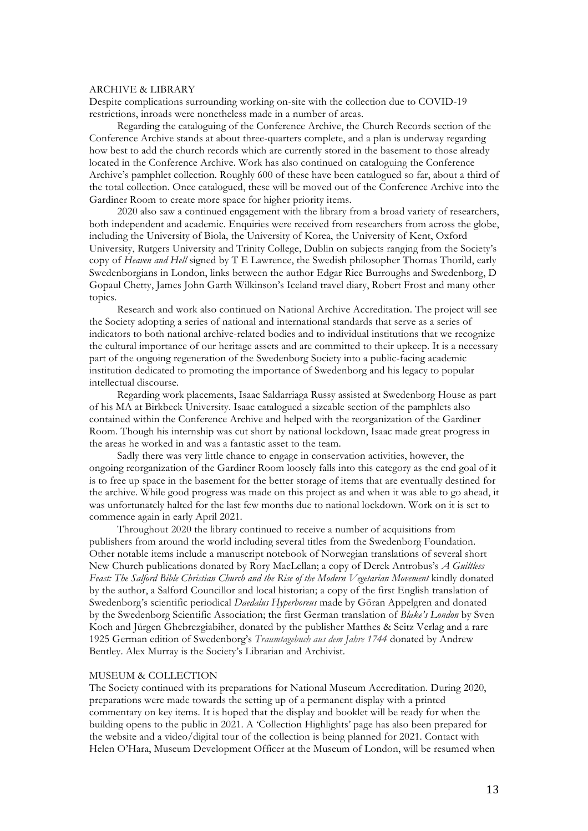#### ARCHIVE & LIBRARY

Despite complications surrounding working on-site with the collection due to COVID-19 restrictions, inroads were nonetheless made in a number of areas.

Regarding the cataloguing of the Conference Archive, the Church Records section of the Conference Archive stands at about three-quarters complete, and a plan is underway regarding how best to add the church records which are currently stored in the basement to those already located in the Conference Archive. Work has also continued on cataloguing the Conference Archive's pamphlet collection. Roughly 600 of these have been catalogued so far, about a third of the total collection. Once catalogued, these will be moved out of the Conference Archive into the Gardiner Room to create more space for higher priority items.

2020 also saw a continued engagement with the library from a broad variety of researchers, both independent and academic. Enquiries were received from researchers from across the globe, including the University of Biola, the University of Korea, the University of Kent, Oxford University, Rutgers University and Trinity College, Dublin on subjects ranging from the Society's copy of *Heaven and Hell* signed by T E Lawrence, the Swedish philosopher Thomas Thorild, early Swedenborgians in London, links between the author Edgar Rice Burroughs and Swedenborg, D Gopaul Chetty, James John Garth Wilkinson's Iceland travel diary, Robert Frost and many other topics.

Research and work also continued on National Archive Accreditation. The project will see the Society adopting a series of national and international standards that serve as a series of indicators to both national archive-related bodies and to individual institutions that we recognize the cultural importance of our heritage assets and are committed to their upkeep. It is a necessary part of the ongoing regeneration of the Swedenborg Society into a public-facing academic institution dedicated to promoting the importance of Swedenborg and his legacy to popular intellectual discourse.

Regarding work placements, Isaac Saldarriaga Russy assisted at Swedenborg House as part of his MA at Birkbeck University. Isaac catalogued a sizeable section of the pamphlets also contained within the Conference Archive and helped with the reorganization of the Gardiner Room. Though his internship was cut short by national lockdown, Isaac made great progress in the areas he worked in and was a fantastic asset to the team.

Sadly there was very little chance to engage in conservation activities, however, the ongoing reorganization of the Gardiner Room loosely falls into this category as the end goal of it is to free up space in the basement for the better storage of items that are eventually destined for the archive. While good progress was made on this project as and when it was able to go ahead, it was unfortunately halted for the last few months due to national lockdown. Work on it is set to commence again in early April 2021.

Throughout 2020 the library continued to receive a number of acquisitions from publishers from around the world including several titles from the Swedenborg Foundation. Other notable items include a manuscript notebook of Norwegian translations of several short New Church publications donated by Rory MacLellan; a copy of Derek Antrobus's *A Guiltless Feast: The Salford Bible Christian Church and the Rise of the Modern Vegetarian Movement* kindly donated by the author, a Salford Councillor and local historian; a copy of the first English translation of Swedenborg's scientific periodical *Daedalus Hyperboreus* made by Göran Appelgren and donated by the Swedenborg Scientific Association; **t**he first German translation of *Blake's London* by Sven Koch and Jürgen Ghebrezgiabiher, donated by the publisher Matthes & Seitz Verlag and a rare 1925 German edition of Swedenborg's *Traumtagebuch aus dem Jahre 1744* donated by Andrew Bentley. Alex Murray is the Society's Librarian and Archivist.

#### MUSEUM & COLLECTION

The Society continued with its preparations for National Museum Accreditation. During 2020, preparations were made towards the setting up of a permanent display with a printed commentary on key items. It is hoped that the display and booklet will be ready for when the building opens to the public in 2021. A 'Collection Highlights' page has also been prepared for the website and a video/digital tour of the collection is being planned for 2021. Contact with Helen O'Hara, Museum Development Officer at the Museum of London, will be resumed when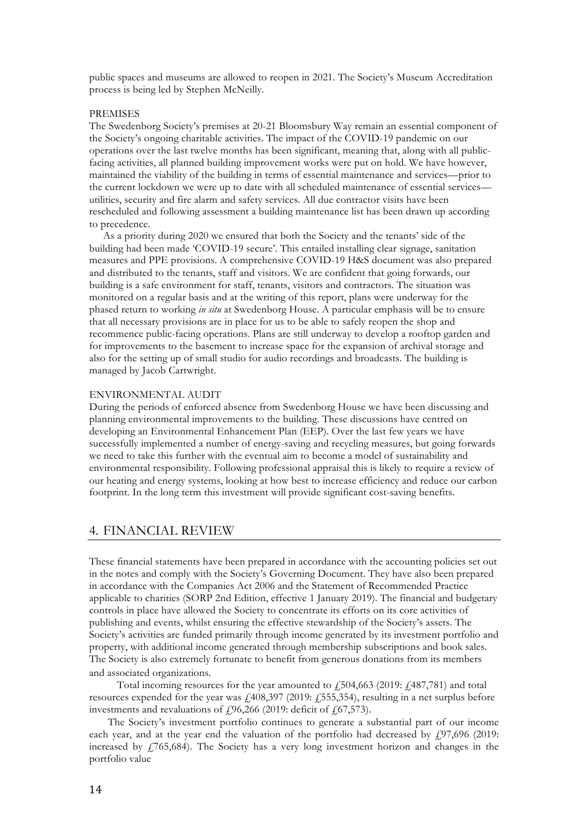public spaces and museums are allowed to reopen in 2021. The Society's Museum Accreditation process is being led by Stephen McNeilly.

#### PREMISES

The Swedenborg Society's premises at 20-21 Bloomsbury Way remain an essential component of the Society's ongoing charitable activities. The impact of the COVID-19 pandemic on our operations over the last twelve months has been significant, meaning that, along with all publicfacing activities, all planned building improvement works were put on hold. We have however, maintained the viability of the building in terms of essential maintenance and services—prior to the current lockdown we were up to date with all scheduled maintenance of essential services utilities, security and fire alarm and safety services. All due contractor visits have been rescheduled and following assessment a building maintenance list has been drawn up according to precedence.

As a priority during 2020 we ensured that both the Society and the tenants' side of the building had been made 'COVID-19 secure'. This entailed installing clear signage, sanitation measures and PPE provisions. A comprehensive COVID-19 H&S document was also prepared and distributed to the tenants, staff and visitors. We are confident that going forwards, our building is a safe environment for staff, tenants, visitors and contractors. The situation was monitored on a regular basis and at the writing of this report, plans were underway for the phased return to working *in situ* at Swedenborg House. A particular emphasis will be to ensure that all necessary provisions are in place for us to be able to safely reopen the shop and recommence public-facing operations. Plans are still underway to develop a rooftop garden and for improvements to the basement to increase space for the expansion of archival storage and also for the setting up of small studio for audio recordings and broadcasts. The building is managed by Jacob Cartwright.

#### ENVIRONMENTAL AUDIT

During the periods of enforced absence from Swedenborg House we have been discussing and planning environmental improvements to the building. These discussions have centred on developing an Environmental Enhancement Plan (EEP). Over the last few years we have successfully implemented a number of energy-saving and recycling measures, but going forwards we need to take this further with the eventual aim to become a model of sustainability and environmental responsibility. Following professional appraisal this is likely to require a review of our heating and energy systems, looking at how best to increase efficiency and reduce our carbon footprint. In the long term this investment will provide significant cost-saving benefits.

### 4. FINANCIAL REVIEW

These financial statements have been prepared in accordance with the accounting policies set out in the notes and comply with the Society's Governing Document. They have also been prepared in accordance with the Companies Act 2006 and the Statement of Recommended Practice applicable to charities (SORP 2nd Edition, effective 1 January 2019). The financial and budgetary controls in place have allowed the Society to concentrate its efforts on its core activities of publishing and events, whilst ensuring the effective stewardship of the Society's assets. The Society's activities are funded primarily through income generated by its investment portfolio and property, with additional income generated through membership subscriptions and book sales. The Society is also extremely fortunate to benefit from generous donations from its members and associated organizations.

Total incoming resources for the year amounted to  $f_1$ 504,663 (2019:  $f_1$ 487,781) and total resources expended for the year was  $\mu$  408,397 (2019:  $\mu$ 555,354), resulting in a net surplus before investments and revaluations of  $f$ , 96, 266 (2019: deficit of  $f$ , 67, 573).

 The Society's investment portfolio continues to generate a substantial part of our income each year, and at the year end the valuation of the portfolio had decreased by  $\ell$ ,97,696 (2019: increased by £765,684). The Society has a very long investment horizon and changes in the portfolio value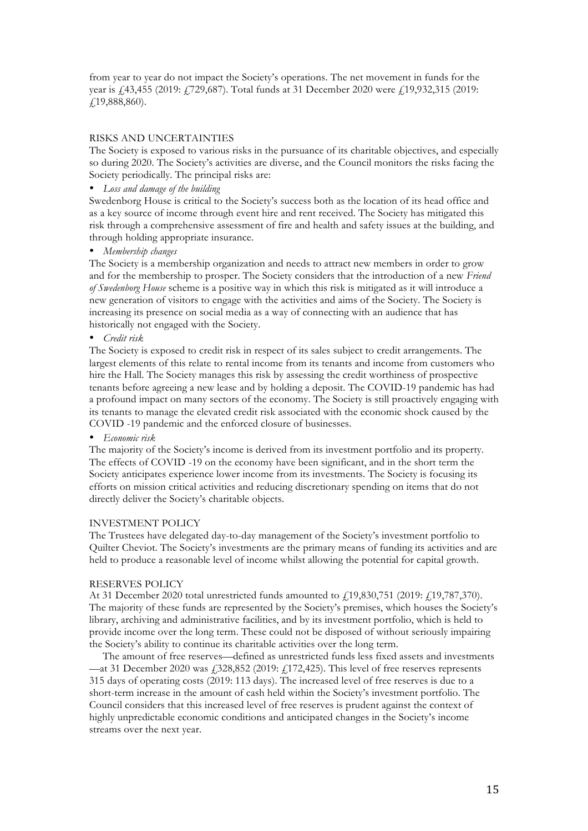from year to year do not impact the Society's operations. The net movement in funds for the year is £43,455 (2019: £729,687). Total funds at 31 December 2020 were £19,932,315 (2019: £19,888,860).

#### RISKS AND UNCERTAINTIES

The Society is exposed to various risks in the pursuance of its charitable objectives, and especially so during 2020. The Society's activities are diverse, and the Council monitors the risks facing the Society periodically. The principal risks are:

• *Loss and damage of the building*

Swedenborg House is critical to the Society's success both as the location of its head office and as a key source of income through event hire and rent received. The Society has mitigated this risk through a comprehensive assessment of fire and health and safety issues at the building, and through holding appropriate insurance.

• *Membership changes*

The Society is a membership organization and needs to attract new members in order to grow and for the membership to prosper. The Society considers that the introduction of a new *Friend of Swedenborg House* scheme is a positive way in which this risk is mitigated as it will introduce a new generation of visitors to engage with the activities and aims of the Society. The Society is increasing its presence on social media as a way of connecting with an audience that has historically not engaged with the Society.

• *Credit risk*

The Society is exposed to credit risk in respect of its sales subject to credit arrangements. The largest elements of this relate to rental income from its tenants and income from customers who hire the Hall. The Society manages this risk by assessing the credit worthiness of prospective tenants before agreeing a new lease and by holding a deposit. The COVID-19 pandemic has had a profound impact on many sectors of the economy. The Society is still proactively engaging with its tenants to manage the elevated credit risk associated with the economic shock caused by the COVID -19 pandemic and the enforced closure of businesses.

• *Economic risk*

The majority of the Society's income is derived from its investment portfolio and its property. The effects of COVID -19 on the economy have been significant, and in the short term the Society anticipates experience lower income from its investments. The Society is focusing its efforts on mission critical activities and reducing discretionary spending on items that do not directly deliver the Society's charitable objects.

#### INVESTMENT POLICY

The Trustees have delegated day-to-day management of the Society's investment portfolio to Quilter Cheviot. The Society's investments are the primary means of funding its activities and are held to produce a reasonable level of income whilst allowing the potential for capital growth.

#### RESERVES POLICY

At 31 December 2020 total unrestricted funds amounted to  $f19,830,751$  (2019:  $f19,787,370$ ). The majority of these funds are represented by the Society's premises, which houses the Society's library, archiving and administrative facilities, and by its investment portfolio, which is held to provide income over the long term. These could not be disposed of without seriously impairing the Society's ability to continue its charitable activities over the long term.

The amount of free reserves—defined as unrestricted funds less fixed assets and investments —at 31 December 2020 was  $\text{\emph{L}}328,852$  (2019:  $\text{\emph{L}}172,425$ ). This level of free reserves represents 315 days of operating costs (2019: 113 days). The increased level of free reserves is due to a short-term increase in the amount of cash held within the Society's investment portfolio. The Council considers that this increased level of free reserves is prudent against the context of highly unpredictable economic conditions and anticipated changes in the Society's income streams over the next year.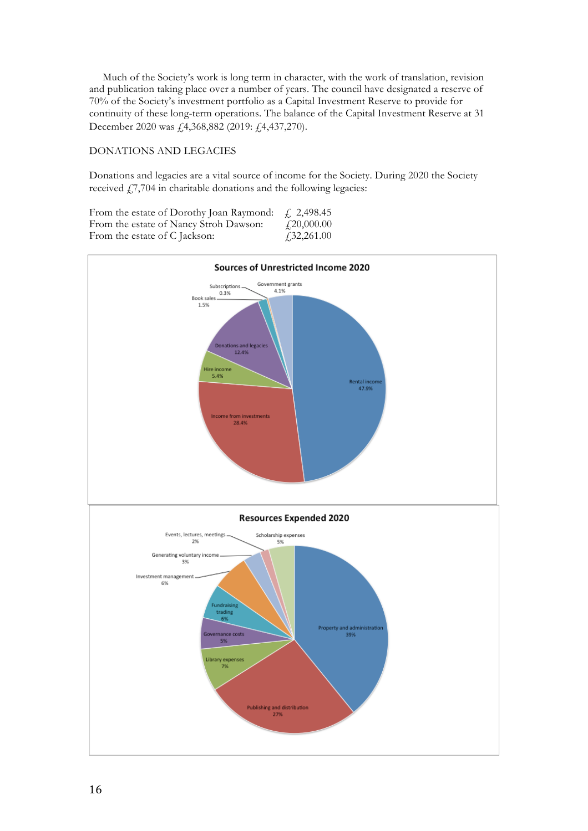Much of the Society's work is long term in character, with the work of translation, revision and publication taking place over a number of years. The council have designated a reserve of 70% of the Society's investment portfolio as a Capital Investment Reserve to provide for continuity of these long-term operations. The balance of the Capital Investment Reserve at 31 December 2020 was £4,368,882 (2019: £4,437,270).

### DONATIONS AND LEGACIES

Donations and legacies are a vital source of income for the Society. During 2020 the Society received  $f$ , 7,704 in charitable donations and the following legacies:

| From the estate of Dorothy Joan Raymond: | f, 2,498.45                   |
|------------------------------------------|-------------------------------|
| From the estate of Nancy Stroh Dawson:   | $\textcolor{red}{f}20,000.00$ |
| From the estate of C Jackson:            | $\sqrt{32,261.00}$            |

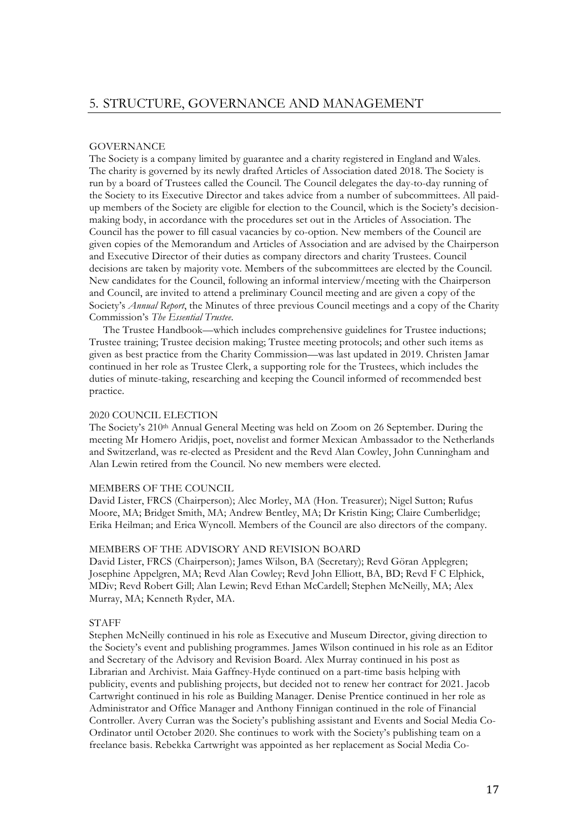#### **GOVERNANCE**

The Society is a company limited by guarantee and a charity registered in England and Wales. The charity is governed by its newly drafted Articles of Association dated 2018. The Society is run by a board of Trustees called the Council. The Council delegates the day-to-day running of the Society to its Executive Director and takes advice from a number of subcommittees. All paidup members of the Society are eligible for election to the Council, which is the Society's decisionmaking body, in accordance with the procedures set out in the Articles of Association. The Council has the power to fill casual vacancies by co-option. New members of the Council are given copies of the Memorandum and Articles of Association and are advised by the Chairperson and Executive Director of their duties as company directors and charity Trustees. Council decisions are taken by majority vote. Members of the subcommittees are elected by the Council. New candidates for the Council, following an informal interview/meeting with the Chairperson and Council, are invited to attend a preliminary Council meeting and are given a copy of the Society's *Annual Report*, the Minutes of three previous Council meetings and a copy of the Charity Commission's *The Essential Trustee*.

The Trustee Handbook—which includes comprehensive guidelines for Trustee inductions; Trustee training; Trustee decision making; Trustee meeting protocols; and other such items as given as best practice from the Charity Commission—was last updated in 2019. Christen Jamar continued in her role as Trustee Clerk, a supporting role for the Trustees, which includes the duties of minute-taking, researching and keeping the Council informed of recommended best practice.

#### 2020 COUNCIL ELECTION

The Society's 210<sup>th</sup> Annual General Meeting was held on Zoom on 26 September. During the meeting Mr Homero Aridjis, poet, novelist and former Mexican Ambassador to the Netherlands and Switzerland, was re-elected as President and the Revd Alan Cowley, John Cunningham and Alan Lewin retired from the Council. No new members were elected.

#### MEMBERS OF THE COUNCIL

David Lister, FRCS (Chairperson); Alec Morley, MA (Hon. Treasurer); Nigel Sutton; Rufus Moore, MA; Bridget Smith, MA; Andrew Bentley, MA; Dr Kristin King; Claire Cumberlidge; Erika Heilman; and Erica Wyncoll. Members of the Council are also directors of the company.

#### MEMBERS OF THE ADVISORY AND REVISION BOARD

David Lister, FRCS (Chairperson); James Wilson, BA (Secretary); Revd Göran Applegren; Josephine Appelgren, MA; Revd Alan Cowley; Revd John Elliott, BA, BD; Revd F C Elphick, MDiv; Revd Robert Gill; Alan Lewin; Revd Ethan McCardell; Stephen McNeilly, MA; Alex Murray, MA; Kenneth Ryder, MA.

#### STAFF

Stephen McNeilly continued in his role as Executive and Museum Director, giving direction to the Society's event and publishing programmes. James Wilson continued in his role as an Editor and Secretary of the Advisory and Revision Board. Alex Murray continued in his post as Librarian and Archivist. Maia Gaffney-Hyde continued on a part-time basis helping with publicity, events and publishing projects, but decided not to renew her contract for 2021. Jacob Cartwright continued in his role as Building Manager. Denise Prentice continued in her role as Administrator and Office Manager and Anthony Finnigan continued in the role of Financial Controller. Avery Curran was the Society's publishing assistant and Events and Social Media Co-Ordinator until October 2020. She continues to work with the Society's publishing team on a freelance basis. Rebekka Cartwright was appointed as her replacement as Social Media Co-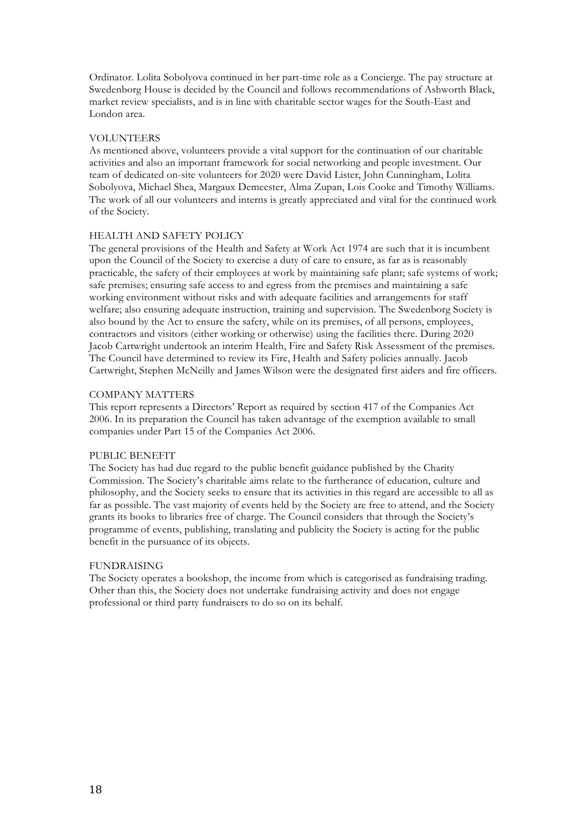Ordinator. Lolita Sobolyova continued in her part-time role as a Concierge. The pay structure at Swedenborg House is decided by the Council and follows recommendations of Ashworth Black, market review specialists, and is in line with charitable sector wages for the South-East and London area.

#### VOLUNTEERS

As mentioned above, volunteers provide a vital support for the continuation of our charitable activities and also an important framework for social networking and people investment. Our team of dedicated on-site volunteers for 2020 were David Lister, John Cunningham, Lolita Sobolyova, Michael Shea, Margaux Demeester, Alma Zupan, Lois Cooke and Timothy Williams. The work of all our volunteers and interns is greatly appreciated and vital for the continued work of the Society.

#### HEALTH AND SAFETY POLICY

The general provisions of the Health and Safety at Work Act 1974 are such that it is incumbent upon the Council of the Society to exercise a duty of care to ensure, as far as is reasonably practicable, the safety of their employees at work by maintaining safe plant; safe systems of work; safe premises; ensuring safe access to and egress from the premises and maintaining a safe working environment without risks and with adequate facilities and arrangements for staff welfare; also ensuring adequate instruction, training and supervision. The Swedenborg Society is also bound by the Act to ensure the safety, while on its premises, of all persons, employees, contractors and visitors (either working or otherwise) using the facilities there. During 2020 Jacob Cartwright undertook an interim Health, Fire and Safety Risk Assessment of the premises. The Council have determined to review its Fire, Health and Safety policies annually. Jacob Cartwright, Stephen McNeilly and James Wilson were the designated first aiders and fire officers.

#### COMPANY MATTERS

This report represents a Directors' Report as required by section 417 of the Companies Act 2006. In its preparation the Council has taken advantage of the exemption available to small companies under Part 15 of the Companies Act 2006.

#### PUBLIC BENEFIT

The Society has had due regard to the public benefit guidance published by the Charity Commission. The Society's charitable aims relate to the furtherance of education, culture and philosophy, and the Society seeks to ensure that its activities in this regard are accessible to all as far as possible. The vast majority of events held by the Society are free to attend, and the Society grants its books to libraries free of charge. The Council considers that through the Society's programme of events, publishing, translating and publicity the Society is acting for the public benefit in the pursuance of its objects.

#### FUNDRAISING

The Society operates a bookshop, the income from which is categorised as fundraising trading. Other than this, the Society does not undertake fundraising activity and does not engage professional or third party fundraisers to do so on its behalf.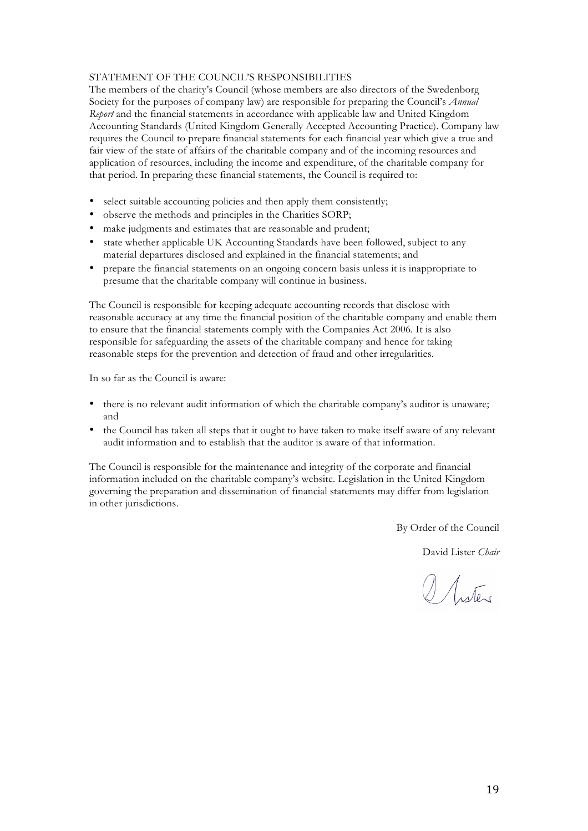### STATEMENT OF THE COUNCIL'S RESPONSIBILITIES

The members of the charity's Council (whose members are also directors of the Swedenborg Society for the purposes of company law) are responsible for preparing the Council's *Annual Report* and the financial statements in accordance with applicable law and United Kingdom Accounting Standards (United Kingdom Generally Accepted Accounting Practice). Company law requires the Council to prepare financial statements for each financial year which give a true and fair view of the state of affairs of the charitable company and of the incoming resources and application of resources, including the income and expenditure, of the charitable company for that period. In preparing these financial statements, the Council is required to:

- select suitable accounting policies and then apply them consistently;
- observe the methods and principles in the Charities SORP;
- make judgments and estimates that are reasonable and prudent;
- state whether applicable UK Accounting Standards have been followed, subject to any material departures disclosed and explained in the financial statements; and
- prepare the financial statements on an ongoing concern basis unless it is inappropriate to presume that the charitable company will continue in business.

The Council is responsible for keeping adequate accounting records that disclose with reasonable accuracy at any time the financial position of the charitable company and enable them to ensure that the financial statements comply with the Companies Act 2006. It is also responsible for safeguarding the assets of the charitable company and hence for taking reasonable steps for the prevention and detection of fraud and other irregularities.

In so far as the Council is aware:

- there is no relevant audit information of which the charitable company's auditor is unaware; and
- the Council has taken all steps that it ought to have taken to make itself aware of any relevant audit information and to establish that the auditor is aware of that information.

The Council is responsible for the maintenance and integrity of the corporate and financial information included on the charitable company's website. Legislation in the United Kingdom governing the preparation and dissemination of financial statements may differ from legislation in other jurisdictions.

By Order of the Council

David Lister *Chair*

O Antes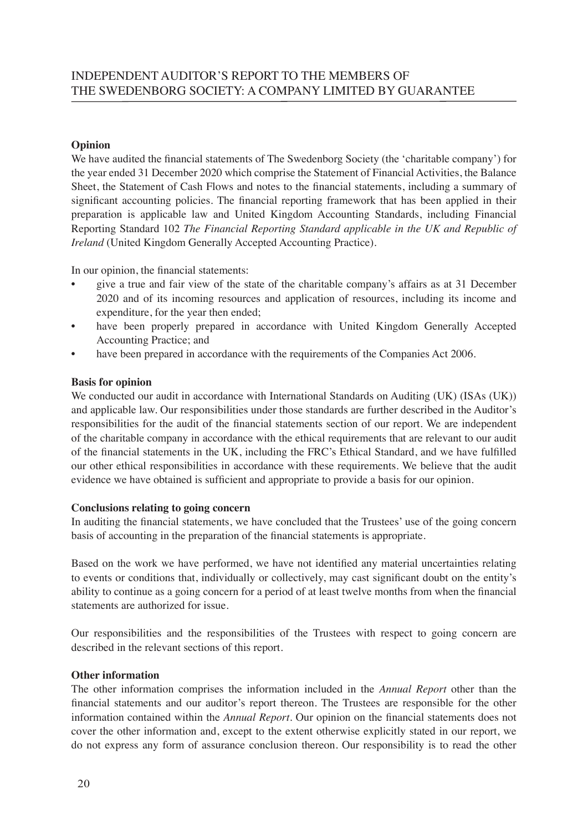### **Opinion**

We have audited the financial statements of The Swedenborg Society (the 'charitable company') for the year ended 31 December 2020 which comprise the Statement of Financial Activities, the Balance Sheet, the Statement of Cash Flows and notes to the financial statements, including a summary of significant accounting policies. The financial reporting framework that has been applied in their preparation is applicable law and United Kingdom Accounting Standards, including Financial Reporting Standard 102 *The Financial Reporting Standard applicable in the UK and Republic of Ireland* (United Kingdom Generally Accepted Accounting Practice).

In our opinion, the financial statements:

- give a true and fair view of the state of the charitable company's affairs as at 31 December 2020 and of its incoming resources and application of resources, including its income and expenditure, for the year then ended;
- have been properly prepared in accordance with United Kingdom Generally Accepted Accounting Practice; and
- have been prepared in accordance with the requirements of the Companies Act 2006.

### **Basis for opinion**

We conducted our audit in accordance with International Standards on Auditing (UK) (ISAs (UK)) and applicable law. Our responsibilities under those standards are further described in the Auditor's responsibilities for the audit of the financial statements section of our report. We are independent of the charitable company in accordance with the ethical requirements that are relevant to our audit of the financial statements in the UK, including the FRC's Ethical Standard, and we have fulfilled our other ethical responsibilities in accordance with these requirements. We believe that the audit evidence we have obtained is sufficient and appropriate to provide a basis for our opinion.

### **Conclusions relating to going concern**

In auditing the financial statements, we have concluded that the Trustees' use of the going concern basis of accounting in the preparation of the financial statements is appropriate.

Based on the work we have performed, we have not identified any material uncertainties relating to events or conditions that, individually or collectively, may cast significant doubt on the entity's ability to continue as a going concern for a period of at least twelve months from when the financial statements are authorized for issue.

Our responsibilities and the responsibilities of the Trustees with respect to going concern are described in the relevant sections of this report.

### **Other information**

The other information comprises the information included in the *Annual Report* other than the financial statements and our auditor's report thereon. The Trustees are responsible for the other information contained within the *Annual Report*. Our opinion on the financial statements does not cover the other information and, except to the extent otherwise explicitly stated in our report, we do not express any form of assurance conclusion thereon. Our responsibility is to read the other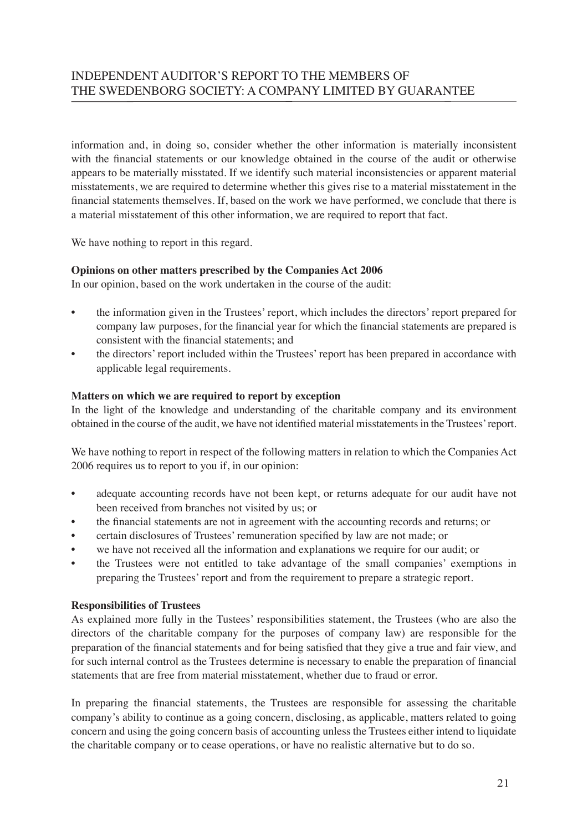information and, in doing so, consider whether the other information is materially inconsistent with the financial statements or our knowledge obtained in the course of the audit or otherwise appears to be materially misstated. If we identify such material inconsistencies or apparent material misstatements, we are required to determine whether this gives rise to a material misstatement in the financial statements themselves. If, based on the work we have performed, we conclude that there is a material misstatement of this other information, we are required to report that fact.

We have nothing to report in this regard.

### **Opinions on other matters prescribed by the Companies Act 2006**

In our opinion, based on the work undertaken in the course of the audit:

- the information given in the Trustees' report, which includes the directors' report prepared for company law purposes, for the financial year for which the financial statements are prepared is consistent with the financial statements; and
- the directors' report included within the Trustees' report has been prepared in accordance with applicable legal requirements.

### **Matters on which we are required to report by exception**

In the light of the knowledge and understanding of the charitable company and its environment obtained in the course of the audit, we have not identified material misstatements in the Trustees' report.

We have nothing to report in respect of the following matters in relation to which the Companies Act 2006 requires us to report to you if, in our opinion:

- adequate accounting records have not been kept, or returns adequate for our audit have not been received from branches not visited by us; or
- the financial statements are not in agreement with the accounting records and returns; or
- certain disclosures of Trustees' remuneration specified by law are not made; or
- we have not received all the information and explanations we require for our audit; or
- the Trustees were not entitled to take advantage of the small companies' exemptions in preparing the Trustees' report and from the requirement to prepare a strategic report.

### **Responsibilities of Trustees**

As explained more fully in the Tustees' responsibilities statement, the Trustees (who are also the directors of the charitable company for the purposes of company law) are responsible for the preparation of the financial statements and for being satisfied that they give a true and fair view, and for such internal control as the Trustees determine is necessary to enable the preparation of financial statements that are free from material misstatement, whether due to fraud or error.

In preparing the financial statements, the Trustees are responsible for assessing the charitable company's ability to continue as a going concern, disclosing, as applicable, matters related to going concern and using the going concern basis of accounting unless the Trustees either intend to liquidate the charitable company or to cease operations, or have no realistic alternative but to do so.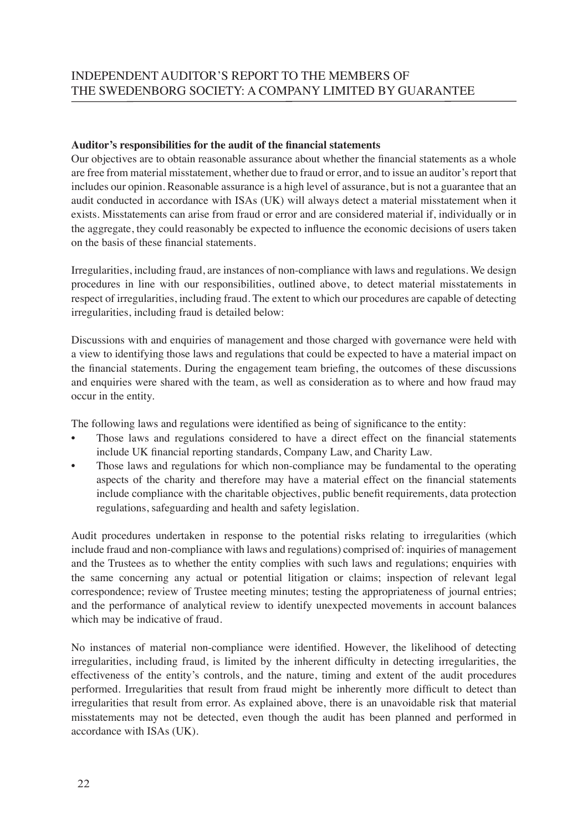### **Auditor's responsibilities for the audit of the financial statements**

Our objectives are to obtain reasonable assurance about whether the financial statements as a whole are free from material misstatement, whether due to fraud or error, and to issue an auditor's report that includes our opinion. Reasonable assurance is a high level of assurance, but is not a guarantee that an audit conducted in accordance with ISAs (UK) will always detect a material misstatement when it exists. Misstatements can arise from fraud or error and are considered material if, individually or in the aggregate, they could reasonably be expected to influence the economic decisions of users taken on the basis of these financial statements.

Irregularities, including fraud, are instances of non-compliance with laws and regulations. We design procedures in line with our responsibilities, outlined above, to detect material misstatements in respect of irregularities, including fraud. The extent to which our procedures are capable of detecting irregularities, including fraud is detailed below:

Discussions with and enquiries of management and those charged with governance were held with a view to identifying those laws and regulations that could be expected to have a material impact on the financial statements. During the engagement team briefing, the outcomes of these discussions and enquiries were shared with the team, as well as consideration as to where and how fraud may occur in the entity.

The following laws and regulations were identified as being of significance to the entity:

- Those laws and regulations considered to have a direct effect on the financial statements include UK financial reporting standards, Company Law, and Charity Law.
- Those laws and regulations for which non-compliance may be fundamental to the operating aspects of the charity and therefore may have a material effect on the financial statements include compliance with the charitable objectives, public benefit requirements, data protection regulations, safeguarding and health and safety legislation.

Audit procedures undertaken in response to the potential risks relating to irregularities (which include fraud and non-compliance with laws and regulations) comprised of: inquiries of management and the Trustees as to whether the entity complies with such laws and regulations; enquiries with the same concerning any actual or potential litigation or claims; inspection of relevant legal correspondence; review of Trustee meeting minutes; testing the appropriateness of journal entries; and the performance of analytical review to identify unexpected movements in account balances which may be indicative of fraud.

No instances of material non-compliance were identified. However, the likelihood of detecting irregularities, including fraud, is limited by the inherent difficulty in detecting irregularities, the effectiveness of the entity's controls, and the nature, timing and extent of the audit procedures performed. Irregularities that result from fraud might be inherently more difficult to detect than irregularities that result from error. As explained above, there is an unavoidable risk that material misstatements may not be detected, even though the audit has been planned and performed in accordance with ISAs (UK).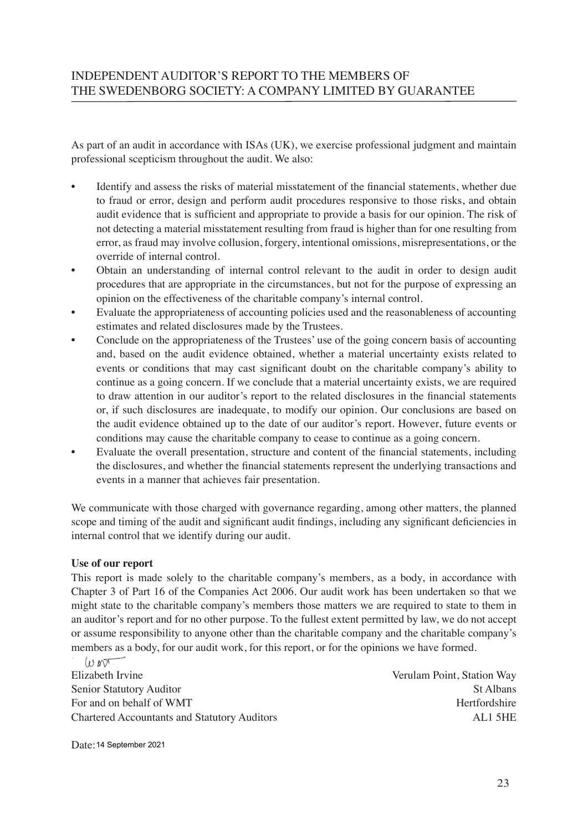As part of an audit in accordance with ISAs (UK), we exercise professional judgment and maintain professional scepticism throughout the audit. We also:

- Identify and assess the risks of material misstatement of the financial statements, whether due to fraud or error, design and perform audit procedures responsive to those risks, and obtain audit evidence that is sufficient and appropriate to provide a basis for our opinion. The risk of not detecting a material misstatement resulting from fraud is higher than for one resulting from error, as fraud may involve collusion, forgery, intentional omissions, misrepresentations, or the override of internal control.
- Obtain an understanding of internal control relevant to the audit in order to design audit procedures that are appropriate in the circumstances, but not for the purpose of expressing an opinion on the effectiveness of the charitable company's internal control.
- Evaluate the appropriateness of accounting policies used and the reasonableness of accounting estimates and related disclosures made by the Trustees.
- Conclude on the appropriateness of the Trustees' use of the going concern basis of accounting and, based on the audit evidence obtained, whether a material uncertainty exists related to events or conditions that may cast significant doubt on the charitable company's ability to continue as a going concern. If we conclude that a material uncertainty exists, we are required to draw attention in our auditor's report to the related disclosures in the financial statements or, if such disclosures are inadequate, to modify our opinion. Our conclusions are based on the audit evidence obtained up to the date of our auditor's report. However, future events or conditions may cause the charitable company to cease to continue as a going concern.
- Evaluate the overall presentation, structure and content of the financial statements, including the disclosures, and whether the financial statements represent the underlying transactions and events in a manner that achieves fair presentation.

We communicate with those charged with governance regarding, among other matters, the planned scope and timing of the audit and significant audit findings, including any significant deficiencies in internal control that we identify during our audit.

### **Use of our report**

This report is made solely to the charitable company's members, as a body, in accordance with Chapter 3 of Part 16 of the Companies Act 2006. Our audit work has been undertaken so that we might state to the charitable company's members those matters we are required to state to them in an auditor's report and for no other purpose. To the fullest extent permitted by law, we do not accept or assume responsibility to anyone other than the charitable company and the charitable company's members as a body, for our audit work, for this report, or for the opinions we have formed.  $\frac{1}{2}$ 

| - <i>UD D V</i>                                     |                            |
|-----------------------------------------------------|----------------------------|
| Elizabeth Irvine                                    | Verulam Point, Station Way |
| Senior Statutory Auditor                            | <b>St</b> Albans           |
| For and on behalf of WMT                            | Hertfordshire              |
| <b>Chartered Accountants and Statutory Auditors</b> | AL1 5HE                    |

Date: 14 September 2021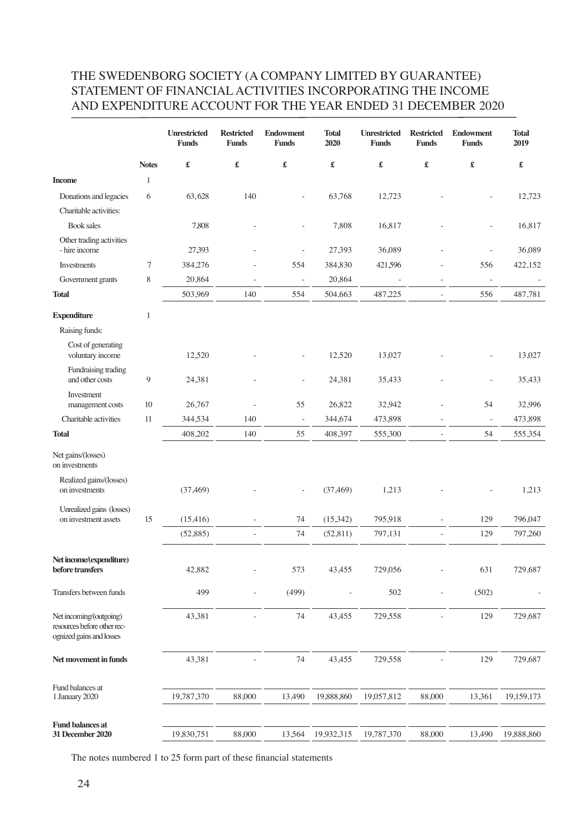# THE SWEDENBORG SOCIETY (A COMPANY LIMITED BY GUARANTEE) STATEMENT OF FINANCIAL ACTIVITIES incorporating the income and expenditure account for THE YEAR ENDED 31 DECEMBER 2020

|                                                                                    |              | <b>Unrestricted</b><br><b>Funds</b> | <b>Restricted</b><br><b>Funds</b> | <b>Endowment</b><br><b>Funds</b> | <b>Total</b><br>2020 | <b>Unrestricted</b><br><b>Funds</b> | <b>Restricted</b><br><b>Funds</b> | <b>Endowment</b><br><b>Funds</b> | <b>Total</b><br>2019 |
|------------------------------------------------------------------------------------|--------------|-------------------------------------|-----------------------------------|----------------------------------|----------------------|-------------------------------------|-----------------------------------|----------------------------------|----------------------|
|                                                                                    | <b>Notes</b> | $\pmb{\mathfrak{L}}$                | £                                 | £                                | £                    | £                                   | £                                 | $\pmb{\mathfrak{L}}$             | £                    |
| <b>Income</b>                                                                      | 1            |                                     |                                   |                                  |                      |                                     |                                   |                                  |                      |
| Donations and legacies                                                             | 6            | 63,628                              | 140                               |                                  | 63,768               | 12,723                              |                                   |                                  | 12,723               |
| Charitable activities:                                                             |              |                                     |                                   |                                  |                      |                                     |                                   |                                  |                      |
| Book sales                                                                         |              | 7,808                               |                                   |                                  | 7,808                | 16,817                              |                                   |                                  | 16,817               |
| Other trading activities<br>- hire income                                          |              | 27,393                              |                                   | ÷,                               | 27,393               | 36,089                              |                                   |                                  | 36,089               |
| Investments                                                                        | $\tau$       | 384,276                             |                                   | 554                              | 384,830              | 421,596                             |                                   | 556                              | 422,152              |
| Government grants                                                                  | 8            | 20,864                              |                                   | $\overline{\phantom{a}}$         | 20,864               | $\overline{\phantom{a}}$            | $\overline{a}$                    | J.                               |                      |
| <b>Total</b>                                                                       |              | 503,969                             | 140                               | 554                              | 504,663              | 487,225                             |                                   | 556                              | 487,781              |
| <b>Expenditure</b>                                                                 | $\mathbf{1}$ |                                     |                                   |                                  |                      |                                     |                                   |                                  |                      |
| Raising funds:                                                                     |              |                                     |                                   |                                  |                      |                                     |                                   |                                  |                      |
| Cost of generating<br>voluntary income                                             |              | 12,520                              |                                   |                                  | 12,520               | 13,027                              |                                   |                                  | 13,027               |
| Fundraising trading<br>and other costs                                             | 9            | 24,381                              |                                   |                                  | 24,381               | 35,433                              |                                   |                                  | 35,433               |
| Investment<br>management costs                                                     | 10           | 26,767                              |                                   | 55                               | 26,822               | 32,942                              |                                   | 54                               | 32,996               |
| Charitable activities                                                              | 11           | 344,534                             | 140                               | $\overline{\phantom{a}}$         | 344,674              | 473,898                             |                                   | ÷,                               | 473,898              |
| <b>Total</b>                                                                       |              | 408,202                             | 140                               | 55                               | 408,397              | 555,300                             |                                   | 54                               | 555,354              |
| Net gains/(losses)<br>on investments                                               |              |                                     |                                   |                                  |                      |                                     |                                   |                                  |                      |
| Realized gains/(losses)<br>on investments                                          |              | (37, 469)                           |                                   |                                  | (37, 469)            | 1,213                               |                                   |                                  | 1,213                |
| Unrealized gains (losses)<br>on investment assets                                  | 15           | (15, 416)                           |                                   | 74                               | (15,342)             | 795,918                             |                                   | 129                              | 796,047              |
|                                                                                    |              | (52, 885)                           |                                   | 74                               | (52, 811)            | 797,131                             |                                   | 129                              | 797,260              |
|                                                                                    |              |                                     |                                   |                                  |                      |                                     |                                   |                                  |                      |
| Net income/(expenditure)<br>before transfers                                       |              | 42,882                              |                                   | 573                              | 43,455               | 729,056                             |                                   | 631                              | 729,687              |
| Transfers between funds                                                            |              | 499                                 |                                   | (499)                            |                      | 502                                 | $\overline{\phantom{0}}$          | (502)                            |                      |
| Net incoming/(outgoing)<br>resources before other rec-<br>ognized gains and losses |              | 43,381                              |                                   | 74                               | 43,455               | 729,558                             |                                   | 129                              | 729,687              |
| Net movement in funds                                                              |              | 43,381                              |                                   | 74                               | 43,455               | 729,558                             |                                   | 129                              | 729,687              |
| Fund balances at<br>1 January 2020                                                 |              | 19,787,370                          | 88,000                            | 13,490                           | 19,888,860           | 19,057,812                          | 88,000                            | 13,361                           | 19,159,173           |
| <b>Fund balances at</b><br>31 December 2020                                        |              | 19,830,751                          | 88,000                            | 13,564                           | 19,932,315           | 19,787,370                          | 88,000                            | 13,490                           | 19,888,860           |

The notes numbered 1 to 25 form part of these financial statements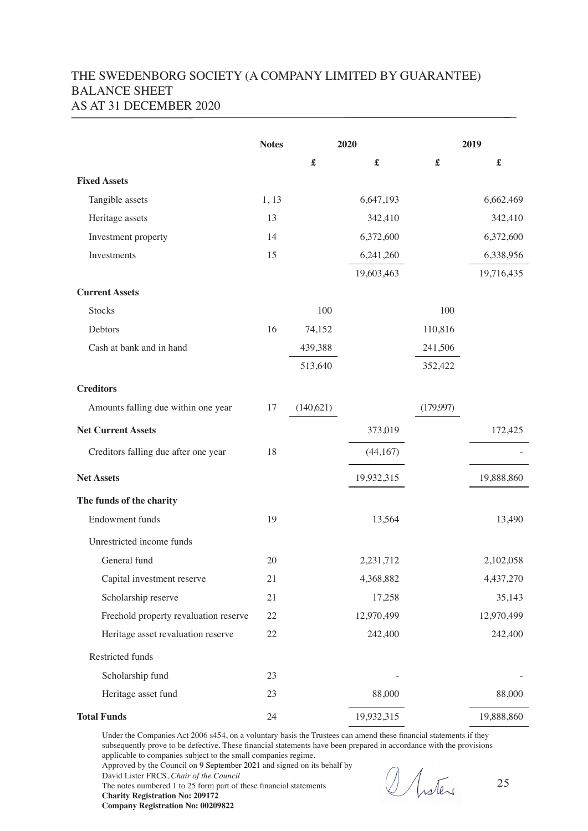# THE SWEDENBORG SOCIETY (A COMPANY LIMITED BY GUARANTEE) BALANCE SHEET AS AT 31 DECEMBER 2020

|                                       | <b>Notes</b> |                      | 2020                 |                      | 2019       |
|---------------------------------------|--------------|----------------------|----------------------|----------------------|------------|
|                                       |              | $\pmb{\mathfrak{L}}$ | $\pmb{\mathfrak{X}}$ | $\pmb{\mathfrak{L}}$ | £          |
| <b>Fixed Assets</b>                   |              |                      |                      |                      |            |
| Tangible assets                       | 1,13         |                      | 6,647,193            |                      | 6,662,469  |
| Heritage assets                       | 13           |                      | 342,410              |                      | 342,410    |
| Investment property                   | 14           |                      | 6,372,600            |                      | 6,372,600  |
| Investments                           | 15           |                      | 6,241,260            |                      | 6,338,956  |
|                                       |              |                      | 19,603,463           |                      | 19,716,435 |
| <b>Current Assets</b>                 |              |                      |                      |                      |            |
| <b>Stocks</b>                         |              | 100                  |                      | 100                  |            |
| Debtors                               | 16           | 74,152               |                      | 110,816              |            |
| Cash at bank and in hand              |              | 439,388              |                      | 241,506              |            |
|                                       |              | 513,640              |                      | 352,422              |            |
| <b>Creditors</b>                      |              |                      |                      |                      |            |
| Amounts falling due within one year   | 17           | (140,621)            |                      | (179,997)            |            |
| <b>Net Current Assets</b>             |              |                      | 373,019              |                      | 172,425    |
| Creditors falling due after one year  | 18           |                      | (44,167)             |                      |            |
| <b>Net Assets</b>                     |              |                      | 19,932,315           |                      | 19,888,860 |
| The funds of the charity              |              |                      |                      |                      |            |
| Endowment funds                       | 19           |                      | 13,564               |                      | 13,490     |
| Unrestricted income funds             |              |                      |                      |                      |            |
| General fund                          | 20           |                      | 2,231,712            |                      | 2,102,058  |
| Capital investment reserve            | 21           |                      | 4,368,882            |                      | 4,437,270  |
| Scholarship reserve                   | 21           |                      | 17,258               |                      | 35,143     |
| Freehold property revaluation reserve | 22           |                      | 12,970,499           |                      | 12,970,499 |
| Heritage asset revaluation reserve    | $22\,$       |                      | 242,400              |                      | 242,400    |
| Restricted funds                      |              |                      |                      |                      |            |
| Scholarship fund                      | 23           |                      |                      |                      |            |
| Heritage asset fund                   | 23           |                      | 88,000               |                      | 88,000     |
| <b>Total Funds</b>                    | 24           |                      | 19,932,315           |                      | 19,888,860 |

Under the Companies Act 2006 s454, on a voluntary basis the Trustees can amend these financial statements if they subsequently prove to be defective. These financial statements have been prepared in accordance with the provisions applicable to companies subject to the small companies regime.

Approved by the Council on 9 September 2021 and signed on its behalf by David Lister FRCS, *Chair of the Council*

The notes numbered 1 to  $25$  form part of these financial statements

**Charity Registration No: 209172**

**Company Registration No: 00209822**

Vister

25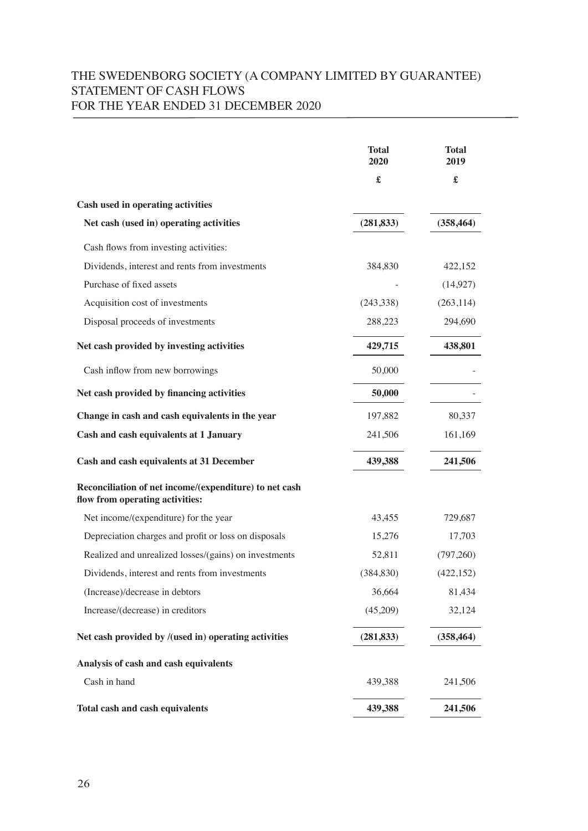# THE SWEDENBORG SOCIETY (A COMPANY LIMITED BY GUARANTEE) STATEMENT OF CASH FLOWS FOR THE YEAR ENDED 31 DECEMBER 2020

|                                                                                           | <b>Total</b><br>2020 | Total<br>2019 |  |
|-------------------------------------------------------------------------------------------|----------------------|---------------|--|
|                                                                                           | £                    | £             |  |
| Cash used in operating activities                                                         |                      |               |  |
| Net cash (used in) operating activities                                                   | (281, 833)           | (358, 464)    |  |
| Cash flows from investing activities:                                                     |                      |               |  |
| Dividends, interest and rents from investments                                            | 384,830              | 422,152       |  |
| Purchase of fixed assets                                                                  |                      | (14, 927)     |  |
| Acquisition cost of investments                                                           | (243, 338)           | (263, 114)    |  |
| Disposal proceeds of investments                                                          | 288,223              | 294,690       |  |
| Net cash provided by investing activities                                                 | 429,715              | 438,801       |  |
| Cash inflow from new borrowings                                                           | 50,000               |               |  |
| Net cash provided by financing activities                                                 | 50,000               |               |  |
| Change in cash and cash equivalents in the year                                           | 197,882              | 80,337        |  |
| Cash and cash equivalents at 1 January                                                    | 241,506              | 161,169       |  |
| <b>Cash and cash equivalents at 31 December</b>                                           | 439,388              | 241,506       |  |
| Reconciliation of net income/(expenditure) to net cash<br>flow from operating activities: |                      |               |  |
| Net income/(expenditure) for the year                                                     | 43,455               | 729,687       |  |
| Depreciation charges and profit or loss on disposals                                      | 15,276               | 17,703        |  |
| Realized and unrealized losses/(gains) on investments                                     | 52,811               | (797,260)     |  |
| Dividends, interest and rents from investments                                            | (384, 830)           | (422, 152)    |  |
| (Increase)/decrease in debtors                                                            | 36,664               | 81,434        |  |
| Increase/(decrease) in creditors                                                          | (45,209)             | 32,124        |  |
| Net cash provided by /(used in) operating activities                                      | (281, 833)           | (358, 464)    |  |
| Analysis of cash and cash equivalents                                                     |                      |               |  |
| Cash in hand                                                                              | 439,388              | 241,506       |  |
| Total cash and cash equivalents                                                           | 439,388              | 241,506       |  |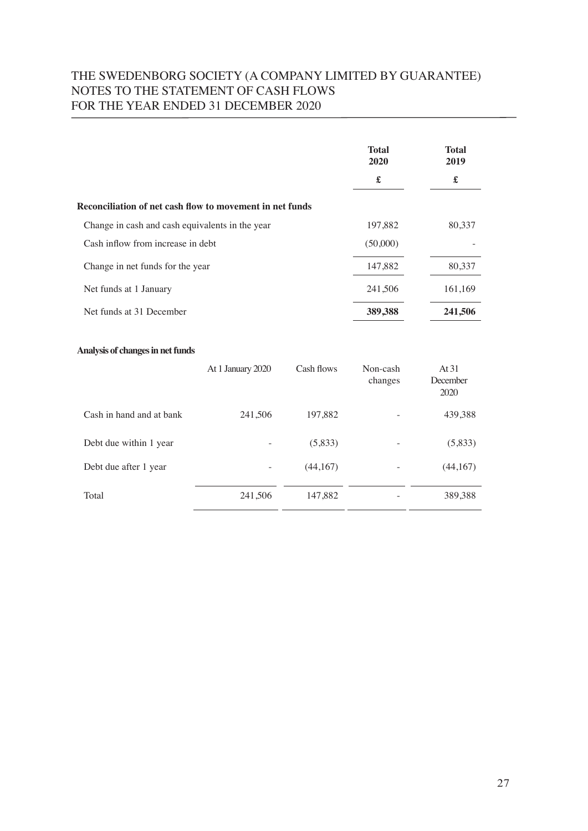# THE SWEDENBORG SOCIETY (A COMPANY LIMITED BY GUARANTEE) NOTES TO THE STATEMENT OF CASH FLOWS FOR THE YEAR ENDED 31 DECEMBER 2020

|                                                          | <b>Total</b><br>2020 | <b>Total</b><br>2019 |  |
|----------------------------------------------------------|----------------------|----------------------|--|
|                                                          | £                    | £                    |  |
| Reconciliation of net cash flow to movement in net funds |                      |                      |  |
| Change in cash and cash equivalents in the year          | 197,882              | 80,337               |  |
| Cash inflow from increase in debt                        | (50,000)             |                      |  |
| Change in net funds for the year                         | 147,882              | 80,337               |  |
| Net funds at 1 January                                   | 241,506              | 161,169              |  |
| Net funds at 31 December                                 | 389,388              | 241,506              |  |

#### **Analysis of changes in net funds**

|                          | At 1 January 2020 | Cash flows | Non-cash<br>changes | At $31$<br>December<br>2020 |
|--------------------------|-------------------|------------|---------------------|-----------------------------|
| Cash in hand and at bank | 241,506           | 197,882    |                     | 439,388                     |
| Debt due within 1 year   |                   | (5,833)    |                     | (5,833)                     |
| Debt due after 1 year    |                   | (44,167)   |                     | (44,167)                    |
| Total                    | 241,506           | 147,882    |                     | 389,388                     |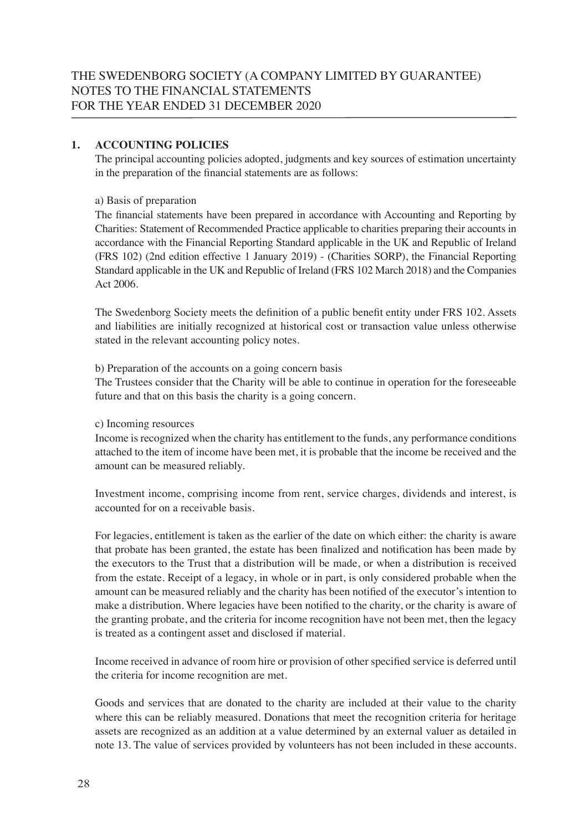### **1. Accounting policies**

The principal accounting policies adopted, judgments and key sources of estimation uncertainty in the preparation of the financial statements are as follows:

### a) Basis of preparation

The financial statements have been prepared in accordance with Accounting and Reporting by Charities: Statement of Recommended Practice applicable to charities preparing their accounts in accordance with the Financial Reporting Standard applicable in the UK and Republic of Ireland (FRS 102) (2nd edition effective 1 January 2019) - (Charities SORP), the Financial Reporting Standard applicable in the UK and Republic of Ireland (FRS 102 March 2018) and the Companies Act 2006.

The Swedenborg Society meets the definition of a public benefit entity under FRS 102. Assets and liabilities are initially recognized at historical cost or transaction value unless otherwise stated in the relevant accounting policy notes.

b) Preparation of the accounts on a going concern basis

The Trustees consider that the Charity will be able to continue in operation for the foreseeable future and that on this basis the charity is a going concern.

### c) Incoming resources

Income is recognized when the charity has entitlement to the funds, any performance conditions attached to the item of income have been met, it is probable that the income be received and the amount can be measured reliably.

Investment income, comprising income from rent, service charges, dividends and interest, is accounted for on a receivable basis.

For legacies, entitlement is taken as the earlier of the date on which either: the charity is aware that probate has been granted, the estate has been finalized and notification has been made by the executors to the Trust that a distribution will be made, or when a distribution is received from the estate. Receipt of a legacy, in whole or in part, is only considered probable when the amount can be measured reliably and the charity has been notified of the executor's intention to make a distribution. Where legacies have been notified to the charity, or the charity is aware of the granting probate, and the criteria for income recognition have not been met, then the legacy is treated as a contingent asset and disclosed if material.

Income received in advance of room hire or provision of other specified service is deferred until the criteria for income recognition are met.

Goods and services that are donated to the charity are included at their value to the charity where this can be reliably measured. Donations that meet the recognition criteria for heritage assets are recognized as an addition at a value determined by an external valuer as detailed in note 13. The value of services provided by volunteers has not been included in these accounts.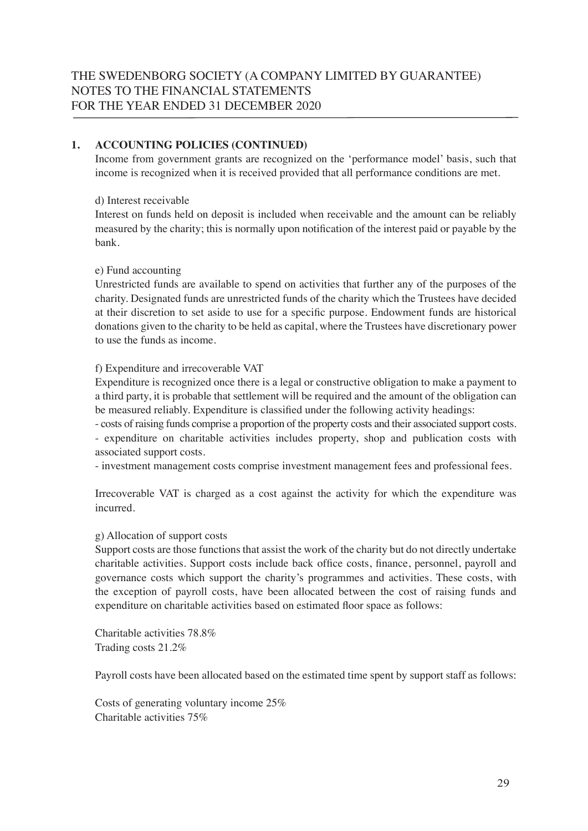### **1. Accounting policies (CONTINUED)**

Income from government grants are recognized on the 'performance model' basis, such that income is recognized when it is received provided that all performance conditions are met.

### d) Interest receivable

Interest on funds held on deposit is included when receivable and the amount can be reliably measured by the charity; this is normally upon notification of the interest paid or payable by the bank.

### e) Fund accounting

Unrestricted funds are available to spend on activities that further any of the purposes of the charity. Designated funds are unrestricted funds of the charity which the Trustees have decided at their discretion to set aside to use for a specific purpose. Endowment funds are historical donations given to the charity to be held as capital, where the Trustees have discretionary power to use the funds as income.

### f) Expenditure and irrecoverable VAT

Expenditure is recognized once there is a legal or constructive obligation to make a payment to a third party, it is probable that settlement will be required and the amount of the obligation can be measured reliably. Expenditure is classified under the following activity headings:

- costs of raising funds comprise a proportion of the property costs and their associated support costs. - expenditure on charitable activities includes property, shop and publication costs with associated support costs.

- investment management costs comprise investment management fees and professional fees.

Irrecoverable VAT is charged as a cost against the activity for which the expenditure was incurred.

### g) Allocation of support costs

Support costs are those functions that assist the work of the charity but do not directly undertake charitable activities. Support costs include back office costs, finance, personnel, payroll and governance costs which support the charity's programmes and activities. These costs, with the exception of payroll costs, have been allocated between the cost of raising funds and expenditure on charitable activities based on estimated floor space as follows:

Charitable activities 78.8% Trading costs 21.2%

Payroll costs have been allocated based on the estimated time spent by support staff as follows:

Costs of generating voluntary income 25% Charitable activities 75%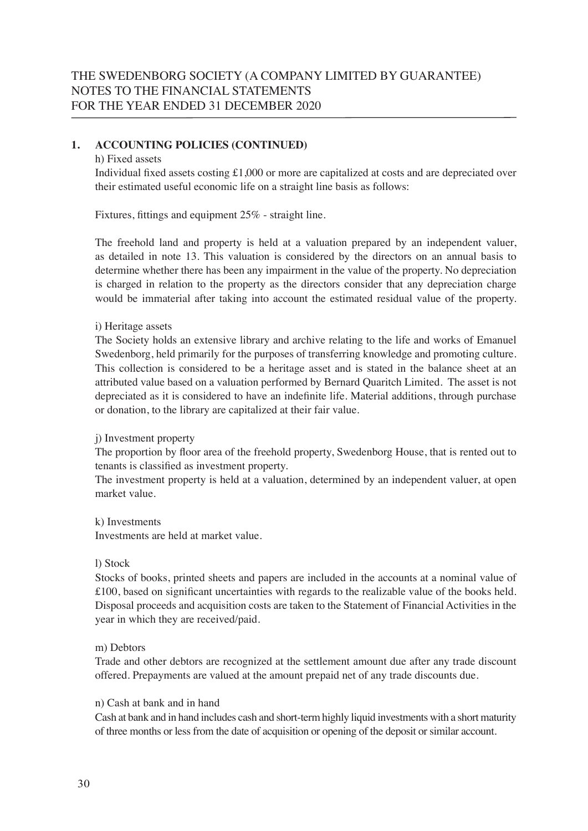### **1. Accounting policies (CONTINUED)**

### h) Fixed assets

Individual fixed assets costing £1,000 or more are capitalized at costs and are depreciated over their estimated useful economic life on a straight line basis as follows:

Fixtures, fittings and equipment 25% - straight line.

The freehold land and property is held at a valuation prepared by an independent valuer, as detailed in note 13. This valuation is considered by the directors on an annual basis to determine whether there has been any impairment in the value of the property. No depreciation is charged in relation to the property as the directors consider that any depreciation charge would be immaterial after taking into account the estimated residual value of the property.

### i) Heritage assets

The Society holds an extensive library and archive relating to the life and works of Emanuel Swedenborg, held primarily for the purposes of transferring knowledge and promoting culture. This collection is considered to be a heritage asset and is stated in the balance sheet at an attributed value based on a valuation performed by Bernard Quaritch Limited. The asset is not depreciated as it is considered to have an indefinite life. Material additions, through purchase or donation, to the library are capitalized at their fair value.

### j) Investment property

The proportion by floor area of the freehold property, Swedenborg House, that is rented out to tenants is classified as investment property.

The investment property is held at a valuation, determined by an independent valuer, at open market value.

### k) Investments

Investments are held at market value.

### l) Stock

Stocks of books, printed sheets and papers are included in the accounts at a nominal value of £100, based on significant uncertainties with regards to the realizable value of the books held. Disposal proceeds and acquisition costs are taken to the Statement of Financial Activities in the year in which they are received/paid.

### m) Debtors

Trade and other debtors are recognized at the settlement amount due after any trade discount offered. Prepayments are valued at the amount prepaid net of any trade discounts due.

### n) Cash at bank and in hand

Cash at bank and in hand includes cash and short-term highly liquid investments with a short maturity of three months or less from the date of acquisition or opening of the deposit or similar account.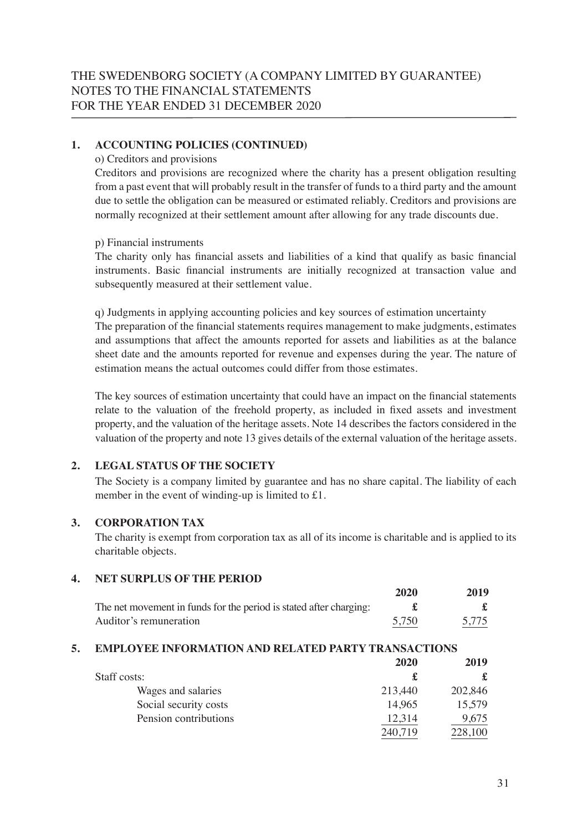### **1. Accounting policies (CONTINUED)**

### o) Creditors and provisions

Creditors and provisions are recognized where the charity has a present obligation resulting from a past event that will probably result in the transfer of funds to a third party and the amount due to settle the obligation can be measured or estimated reliably. Creditors and provisions are normally recognized at their settlement amount after allowing for any trade discounts due.

### p) Financial instruments

The charity only has financial assets and liabilities of a kind that qualify as basic financial instruments. Basic financial instruments are initially recognized at transaction value and subsequently measured at their settlement value.

q) Judgments in applying accounting policies and key sources of estimation uncertainty The preparation of the financial statements requires management to make judgments, estimates and assumptions that affect the amounts reported for assets and liabilities as at the balance sheet date and the amounts reported for revenue and expenses during the year. The nature of estimation means the actual outcomes could differ from those estimates.

The key sources of estimation uncertainty that could have an impact on the financial statements relate to the valuation of the freehold property, as included in fixed assets and investment property, and the valuation of the heritage assets. Note 14 describes the factors considered in the valuation of the property and note 13 gives details of the external valuation of the heritage assets.

### **2. LEGAL STATUS OF THE SOCIETY**

The Society is a company limited by guarantee and has no share capital. The liability of each member in the event of winding-up is limited to £1.

### **3. CORPORATION TAX**

The charity is exempt from corporation tax as all of its income is charitable and is applied to its charitable objects.

### **4. Net surplus of the period**

|                                                                    | 2020  | 2019  |
|--------------------------------------------------------------------|-------|-------|
| The net movement in funds for the period is stated after charging: |       |       |
| Auditor's remuneration                                             | 5.750 | 5.775 |

### **5. Employee information and related party transactions**

|                       | 2020    | 2019    |
|-----------------------|---------|---------|
| Staff costs:          |         |         |
| Wages and salaries    | 213,440 | 202,846 |
| Social security costs | 14,965  | 15,579  |
| Pension contributions | 12,314  | 9,675   |
|                       | 240,719 | 228,100 |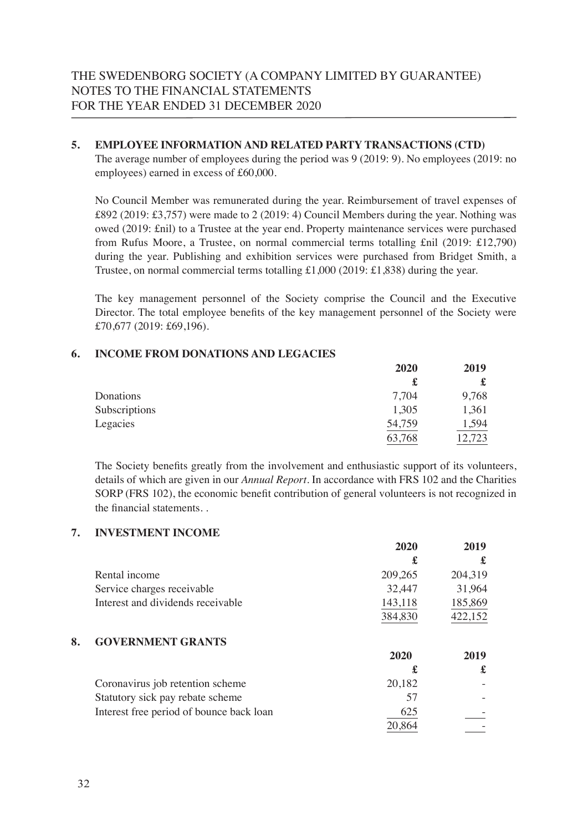### **5. Employee information and related party transactions (CTD)**

The average number of employees during the period was 9 (2019: 9). No employees (2019: no employees) earned in excess of £60,000.

No Council Member was remunerated during the year. Reimbursement of travel expenses of £892 (2019: £3,757) were made to 2 (2019: 4) Council Members during the year. Nothing was owed (2019: £nil) to a Trustee at the year end. Property maintenance services were purchased from Rufus Moore, a Trustee, on normal commercial terms totalling £nil (2019: £12,790) during the year. Publishing and exhibition services were purchased from Bridget Smith, a Trustee, on normal commercial terms totalling £1,000 (2019: £1,838) during the year.

The key management personnel of the Society comprise the Council and the Executive Director. The total employee benefits of the key management personnel of the Society were £70,677 (2019: £69,196).

### **6. INCOME FROM DONATIONS AND LEGACIES**

|               | 2020   | 2019   |
|---------------|--------|--------|
|               |        |        |
| Donations     | 7,704  | 9,768  |
| Subscriptions | 1,305  | 1,361  |
| Legacies      | 54,759 | 1,594  |
|               | 63,768 | 12,723 |

The Society benefits greatly from the involvement and enthusiastic support of its volunteers, details of which are given in our *Annual Report*. In accordance with FRS 102 and the Charities SORP (FRS 102), the economic benefit contribution of general volunteers is not recognized in the financial statements. .

### **7. Investment income**

|    |                                          | 2020    | 2019    |
|----|------------------------------------------|---------|---------|
|    |                                          | £       | £       |
|    | Rental income                            | 209,265 | 204,319 |
|    | Service charges receivable               | 32,447  | 31,964  |
|    | Interest and dividends receivable        | 143,118 | 185,869 |
|    |                                          | 384,830 | 422,152 |
| 8. | <b>GOVERNMENT GRANTS</b>                 |         |         |
|    |                                          | 2020    | 2019    |
|    |                                          | £       | £       |
|    | Coronavirus job retention scheme         | 20,182  |         |
|    | Statutory sick pay rebate scheme         | 57      |         |
|    | Interest free period of bounce back loan | 625     |         |
|    |                                          | 20,864  |         |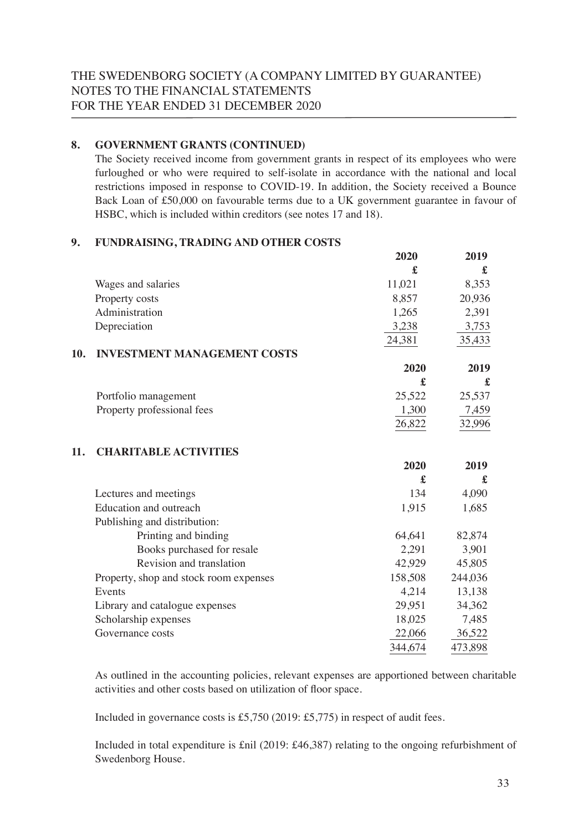### **8. GOVERNMENT GRANTS (CONTINUED)**

The Society received income from government grants in respect of its employees who were furloughed or who were required to self-isolate in accordance with the national and local restrictions imposed in response to COVID-19. In addition, the Society received a Bounce Back Loan of £50,000 on favourable terms due to a UK government guarantee in favour of HSBC, which is included within creditors (see notes 17 and 18).

### **9. Fundraising, Trading and Other Costs**

|     |                                        | 2020    | 2019                                                                                |
|-----|----------------------------------------|---------|-------------------------------------------------------------------------------------|
|     |                                        | £       | £                                                                                   |
|     | Wages and salaries                     | 11,021  | 8,353                                                                               |
|     | Property costs                         | 8,857   | 20,936                                                                              |
|     | Administration                         | 1,265   | 2,391                                                                               |
|     | Depreciation                           | 3,238   | 3,753                                                                               |
|     |                                        | 24,381  | 35,433                                                                              |
| 10. | <b>INVESTMENT MANAGEMENT COSTS</b>     |         |                                                                                     |
|     |                                        | 2020    | 2019                                                                                |
|     |                                        | £       | $\pmb{\pmb{\pmb{\pmb{\pmb{\pmb{\pmb{\pmb{\pmb{\pmb{\pmb{\pmb{\pmb{\bm{}}}}}}}}}}}}$ |
|     | Portfolio management                   | 25,522  | 25,537                                                                              |
|     | Property professional fees             | 1,300   | 7,459                                                                               |
|     |                                        | 26,822  | 32,996                                                                              |
| 11. | <b>CHARITABLE ACTIVITIES</b>           |         |                                                                                     |
|     |                                        | 2020    | 2019                                                                                |
|     |                                        | £       | £                                                                                   |
|     | Lectures and meetings                  | 134     | 4,090                                                                               |
|     | Education and outreach                 | 1,915   | 1,685                                                                               |
|     | Publishing and distribution:           |         |                                                                                     |
|     | Printing and binding                   | 64,641  | 82,874                                                                              |
|     | Books purchased for resale             | 2,291   | 3,901                                                                               |
|     | Revision and translation               | 42,929  | 45,805                                                                              |
|     | Property, shop and stock room expenses | 158,508 | 244,036                                                                             |
|     | Events                                 | 4,214   | 13,138                                                                              |
|     | Library and catalogue expenses         | 29,951  | 34,362                                                                              |
|     | Scholarship expenses                   | 18,025  | 7,485                                                                               |
|     | Governance costs                       | 22,066  | 36,522                                                                              |
|     |                                        | 344,674 | 473,898                                                                             |

As outlined in the accounting policies, relevant expenses are apportioned between charitable activities and other costs based on utilization of floor space.

Included in governance costs is £5,750 (2019: £5,775) in respect of audit fees.

Included in total expenditure is £nil (2019: £46,387) relating to the ongoing refurbishment of Swedenborg House.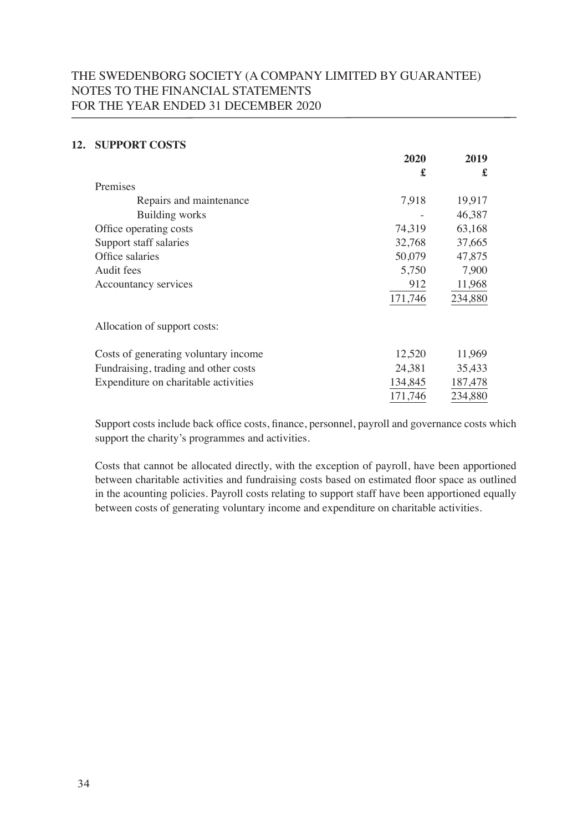### **12. SUPPORT COSTS**

|                                      | 2020    | 2019    |
|--------------------------------------|---------|---------|
|                                      | £       | £       |
| Premises                             |         |         |
| Repairs and maintenance              | 7,918   | 19,917  |
| <b>Building works</b>                |         | 46,387  |
| Office operating costs               | 74,319  | 63,168  |
| Support staff salaries               | 32,768  | 37,665  |
| Office salaries                      | 50,079  | 47,875  |
| Audit fees                           | 5,750   | 7,900   |
| Accountancy services                 | 912     | 11,968  |
|                                      | 171,746 | 234,880 |
| Allocation of support costs:         |         |         |
| Costs of generating voluntary income | 12,520  | 11,969  |
| Fundraising, trading and other costs | 24,381  | 35,433  |
| Expenditure on charitable activities | 134,845 | 187,478 |
|                                      | 171,746 | 234,880 |

Support costs include back office costs, finance, personnel, payroll and governance costs which support the charity's programmes and activities.

Costs that cannot be allocated directly, with the exception of payroll, have been apportioned between charitable activities and fundraising costs based on estimated floor space as outlined in the acounting policies. Payroll costs relating to support staff have been apportioned equally between costs of generating voluntary income and expenditure on charitable activities.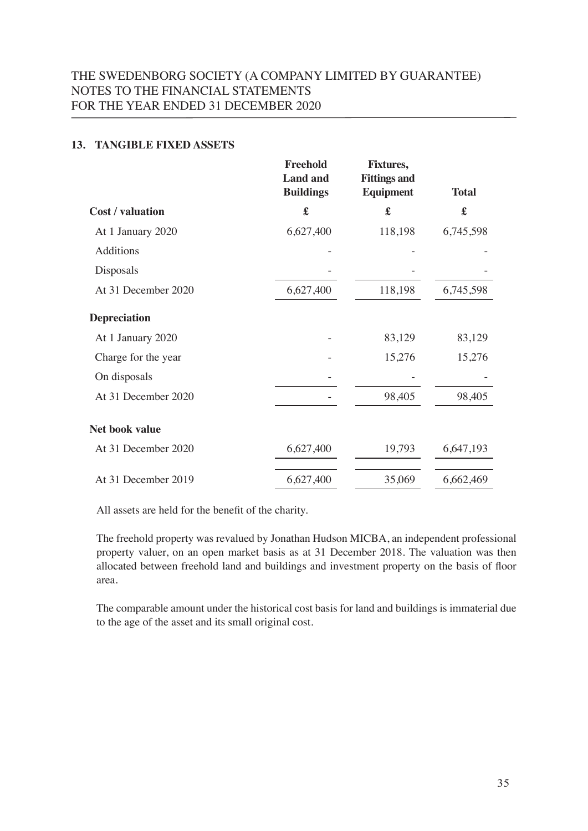# THE SWEDENBORG SOCIETY (A COMPANY LIMITED BY GUARANTEE) NOTES TO THE FINANCIAL STATEMENTS FOR THE YEAR ENDED 31 DECEMBER 2020

### **13. Tangible fixed assets**

|                         | <b>Freehold</b><br><b>Land and</b><br><b>Buildings</b> | <b>Fixtures,</b><br><b>Fittings and</b><br><b>Equipment</b> | <b>Total</b> |
|-------------------------|--------------------------------------------------------|-------------------------------------------------------------|--------------|
| <b>Cost / valuation</b> | £                                                      | £                                                           | £            |
| At 1 January 2020       | 6,627,400                                              | 118,198                                                     | 6,745,598    |
| Additions               |                                                        |                                                             |              |
| Disposals               |                                                        |                                                             |              |
| At 31 December 2020     | 6,627,400                                              | 118,198                                                     | 6,745,598    |
| <b>Depreciation</b>     |                                                        |                                                             |              |
| At 1 January 2020       |                                                        | 83,129                                                      | 83,129       |
| Charge for the year     |                                                        | 15,276                                                      | 15,276       |
| On disposals            |                                                        |                                                             |              |
| At 31 December 2020     |                                                        | 98,405                                                      | 98,405       |
| <b>Net book value</b>   |                                                        |                                                             |              |
| At 31 December 2020     | 6,627,400                                              | 19,793                                                      | 6,647,193    |
| At 31 December 2019     | 6,627,400                                              | 35,069                                                      | 6,662,469    |

All assets are held for the benefit of the charity.

The freehold property was revalued by Jonathan Hudson MICBA, an independent professional property valuer, on an open market basis as at 31 December 2018. The valuation was then allocated between freehold land and buildings and investment property on the basis of floor area.

The comparable amount under the historical cost basis for land and buildings is immaterial due to the age of the asset and its small original cost.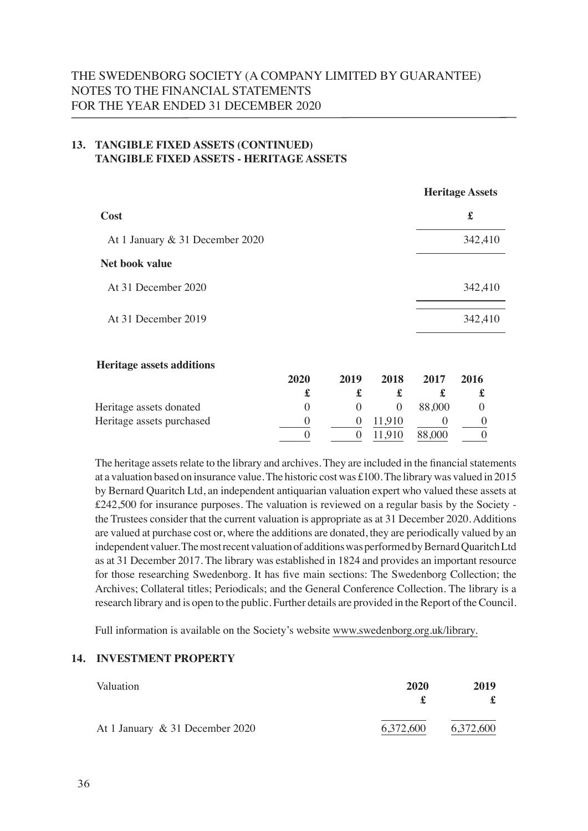### **13. Tangible fixed assets (CONTINUED) Tangible fixed assets - HERITAGE ASSETS**

|                                  |          |                  |                |          | <b>Heritage Assets</b> |  |
|----------------------------------|----------|------------------|----------------|----------|------------------------|--|
| Cost                             |          |                  |                |          | £                      |  |
| At 1 January & 31 December 2020  |          |                  |                |          | 342,410                |  |
| <b>Net book value</b>            |          |                  |                |          |                        |  |
| At 31 December 2020              |          |                  |                |          | 342,410                |  |
| At 31 December 2019              |          |                  |                |          | 342,410                |  |
| <b>Heritage assets additions</b> |          |                  |                |          |                        |  |
|                                  | 2020     | 2019             | 2018           | 2017     | 2016                   |  |
|                                  | £        | £                | $\mathbf f$    | £        | £                      |  |
| Heritage assets donated          | $\Omega$ | $\overline{0}$   | $\overline{0}$ | 88,000   | $\Omega$               |  |
| Heritage assets purchased        | $\theta$ | 0                | 11,910         | $\theta$ |                        |  |
|                                  | $\theta$ | $\boldsymbol{0}$ | 11,910         | 88,000   | 0                      |  |

The heritage assets relate to the library and archives. They are included in the financial statements at a valuation based on insurance value. The historic cost was £100. The library was valued in 2015 by Bernard Quaritch Ltd, an independent antiquarian valuation expert who valued these assets at £242,500 for insurance purposes. The valuation is reviewed on a regular basis by the Society the Trustees consider that the current valuation is appropriate as at 31 December 2020. Additions are valued at purchase cost or, where the additions are donated, they are periodically valued by an independent valuer. The most recent valuation of additions was performed by Bernard Quaritch Ltd as at 31 December 2017. The library was established in 1824 and provides an important resource for those researching Swedenborg. It has five main sections: The Swedenborg Collection; the Archives; Collateral titles; Periodicals; and the General Conference Collection. The library is a research library and is open to the public. Further details are provided in the Report of the Council.

Full information is available on the Society's website www.swedenborg.org.uk/library.

### **14. INVESTMENT PROPERTY**

| Valuation                       | 2020      | 2019<br>£ |
|---------------------------------|-----------|-----------|
| At 1 January & 31 December 2020 | 6,372,600 | 6,372,600 |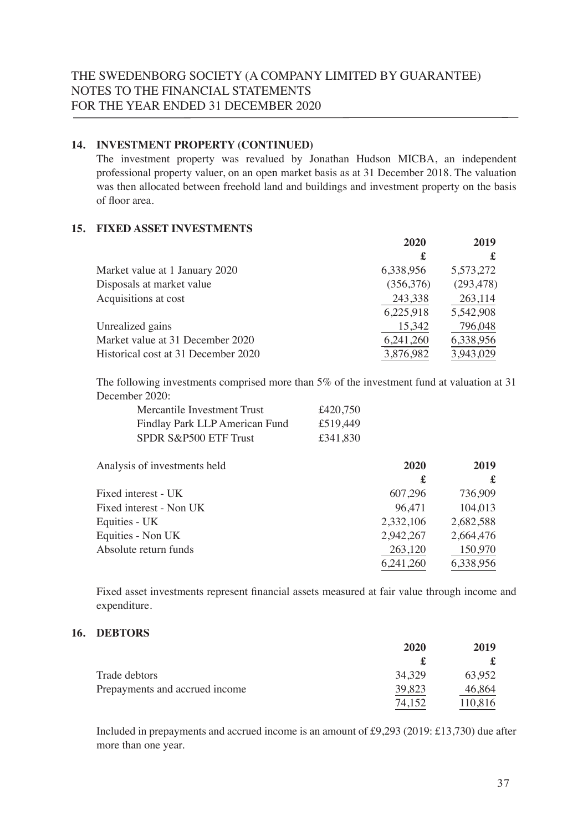### **14. INVESTMENT PROPERTY (CONTINUED)**

The investment property was revalued by Jonathan Hudson MICBA, an independent professional property valuer, on an open market basis as at 31 December 2018. The valuation was then allocated between freehold land and buildings and investment property on the basis of floor area.

### **15. Fixed asset investments**

|                                     | 2020      | 2019       |
|-------------------------------------|-----------|------------|
|                                     | £         |            |
| Market value at 1 January 2020      | 6,338,956 | 5,573,272  |
| Disposals at market value           | (356,376) | (293, 478) |
| Acquisitions at cost                | 243,338   | 263,114    |
|                                     | 6,225,918 | 5,542,908  |
| Unrealized gains                    | 15,342    | 796,048    |
| Market value at 31 December 2020    | 6,241,260 | 6,338,956  |
| Historical cost at 31 December 2020 | 3,876,982 | 3,943,029  |
|                                     |           |            |

The following investments comprised more than 5% of the investment fund at valuation at 31 December 2020:

| Mercantile Investment Trust    | £420,750 |
|--------------------------------|----------|
| Findlay Park LLP American Fund | £519,449 |
| SPDR S&P500 ETF Trust          | £341,830 |

| Analysis of investments held | 2020      | 2019      |
|------------------------------|-----------|-----------|
|                              | £         | £         |
| Fixed interest - UK          | 607,296   | 736,909   |
| Fixed interest - Non UK      | 96,471    | 104,013   |
| Equities - UK                | 2,332,106 | 2,682,588 |
| Equities - Non UK            | 2,942,267 | 2,664,476 |
| Absolute return funds        | 263,120   | 150,970   |
|                              | 6,241,260 | 6,338,956 |

Fixed asset investments represent financial assets measured at fair value through income and expenditure.

### **16. Debtors**

|                                | 2020   | 2019    |
|--------------------------------|--------|---------|
|                                |        |         |
| Trade debtors                  | 34,329 | 63,952  |
| Prepayments and accrued income | 39,823 | 46,864  |
|                                | 74,152 | 110,816 |

Included in prepayments and accrued income is an amount of £9,293 (2019: £13,730) due after more than one year.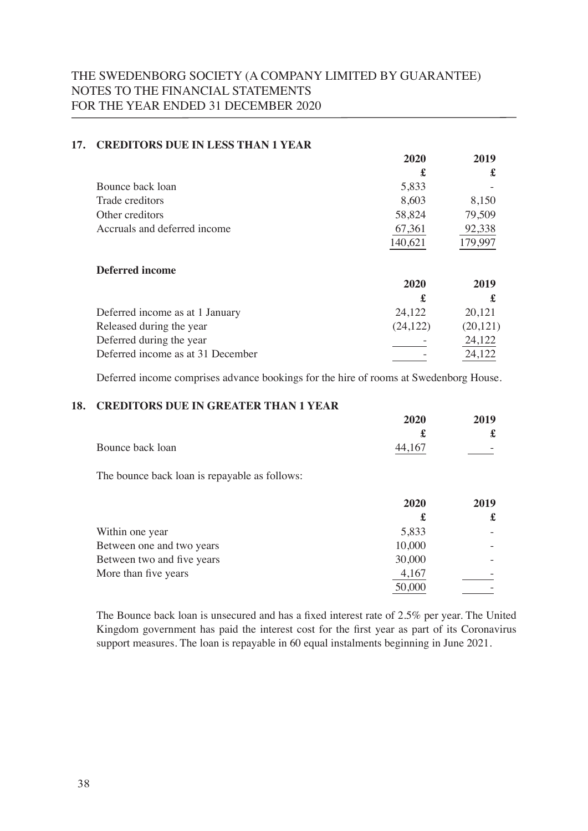### **17. Creditors DUE IN LESS THAN 1 YEAR**

|                                   | 2020      | 2019      |
|-----------------------------------|-----------|-----------|
|                                   | £         | £         |
| Bounce back loan                  | 5,833     |           |
| Trade creditors                   | 8,603     | 8,150     |
| Other creditors                   | 58,824    | 79,509    |
| Accruals and deferred income      | 67,361    | 92,338    |
|                                   | 140,621   | 179,997   |
| <b>Deferred income</b>            |           |           |
|                                   | 2020      | 2019      |
|                                   | £         | £         |
| Deferred income as at 1 January   | 24,122    | 20,121    |
| Released during the year          | (24, 122) | (20, 121) |
| Deferred during the year          |           | 24,122    |
| Deferred income as at 31 December |           | 24,122    |
|                                   |           |           |

Deferred income comprises advance bookings for the hire of rooms at Swedenborg House.

### **18. Creditors DUE IN GREATER THAN 1 YEAR**

|                                                                 | 2020   | 2019                     |
|-----------------------------------------------------------------|--------|--------------------------|
|                                                                 |        | £                        |
| Bounce back loan                                                | 44,167 | $\overline{\phantom{0}}$ |
| $\sim$ $\sim$ $\sim$ $\sim$ $\sim$ $\sim$ $\sim$<br>.<br>$\sim$ |        |                          |

The bounce back loan is repayable as follows:

|                            | 2020   | 2019 |
|----------------------------|--------|------|
|                            |        |      |
| Within one year            | 5,833  |      |
| Between one and two years  | 10,000 |      |
| Between two and five years | 30,000 |      |
| More than five years       | 4,167  |      |
|                            | 50,000 |      |

The Bounce back loan is unsecured and has a fixed interest rate of 2.5% per year. The United Kingdom government has paid the interest cost for the first year as part of its Coronavirus support measures. The loan is repayable in 60 equal instalments beginning in June 2021.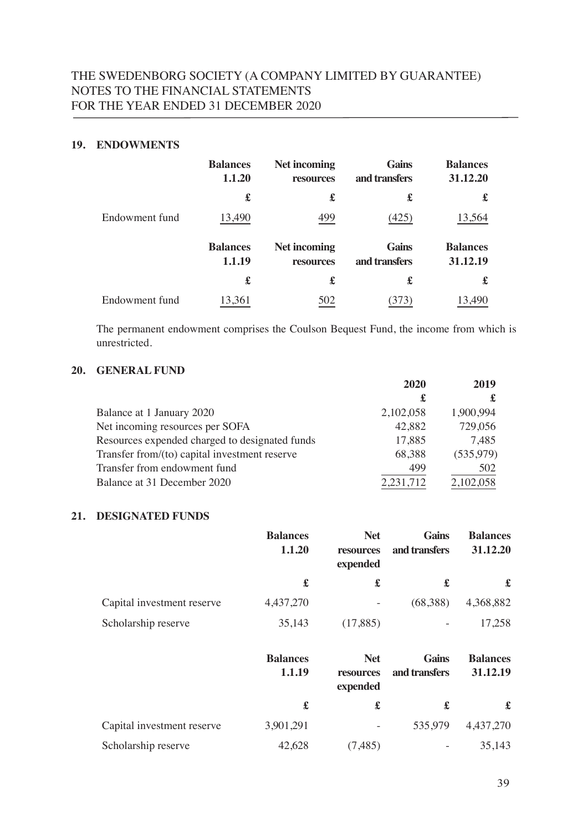# THE SWEDENBORG SOCIETY (A COMPANY LIMITED BY GUARANTEE) NOTES TO THE FINANCIAL STATEMENTS FOR THE YEAR ENDED 31 DECEMBER 2020

### **19. ENDOWMENTS**

|                | <b>Balances</b><br>1.1.20 | Net incoming<br>resources | <b>Gains</b><br>and transfers | <b>Balances</b><br>31.12.20 |
|----------------|---------------------------|---------------------------|-------------------------------|-----------------------------|
|                | £                         | £                         | £                             | £                           |
| Endowment fund | 13,490                    | 499                       | (425)                         | 13,564                      |
|                | <b>Balances</b><br>1.1.19 | Net incoming<br>resources | <b>Gains</b><br>and transfers | <b>Balances</b><br>31.12.19 |
|                | £                         | £                         | £                             | £                           |
| Endowment fund | 13,361                    | 502                       | 3/3                           | 13,490                      |

The permanent endowment comprises the Coulson Bequest Fund, the income from which is unrestricted.

### **20. GENERAL Fund**

|                                                | 2020      | 2019      |
|------------------------------------------------|-----------|-----------|
|                                                |           |           |
| Balance at 1 January 2020                      | 2,102,058 | 1,900,994 |
| Net incoming resources per SOFA                | 42,882    | 729,056   |
| Resources expended charged to designated funds | 17,885    | 7,485     |
| Transfer from/(to) capital investment reserve  | 68,388    | (535,979) |
| Transfer from endowment fund                   | 499       | 502       |
| Balance at 31 December 2020                    | 2,231,712 | 2,102,058 |
|                                                |           |           |

### **21. Designated Funds**

|                            | <b>Balances</b><br>1.1.20 | <b>Net</b><br>resources<br>expended | <b>Gains</b><br>and transfers | <b>Balances</b><br>31.12.20 |
|----------------------------|---------------------------|-------------------------------------|-------------------------------|-----------------------------|
|                            | £                         | £                                   | £                             | $\pmb{\mathbf{f}}$          |
| Capital investment reserve | 4,437,270                 |                                     | (68,388)                      | 4,368,882                   |
| Scholarship reserve        | 35,143                    | (17, 885)                           |                               | 17,258                      |
|                            | <b>Balances</b><br>1.1.19 | <b>Net</b><br>resources<br>expended | Gains<br>and transfers        | <b>Balances</b><br>31.12.19 |
|                            | $\pmb{\mathbf{f}}$        | $\pmb{\mathfrak{X}}$                | £                             | $\pmb{\mathbf{f}}$          |
| Capital investment reserve | 3,901,291                 |                                     | 535,979                       | 4,437,270                   |
| Scholarship reserve        | 42,628                    | (7, 485)                            |                               | 35,143                      |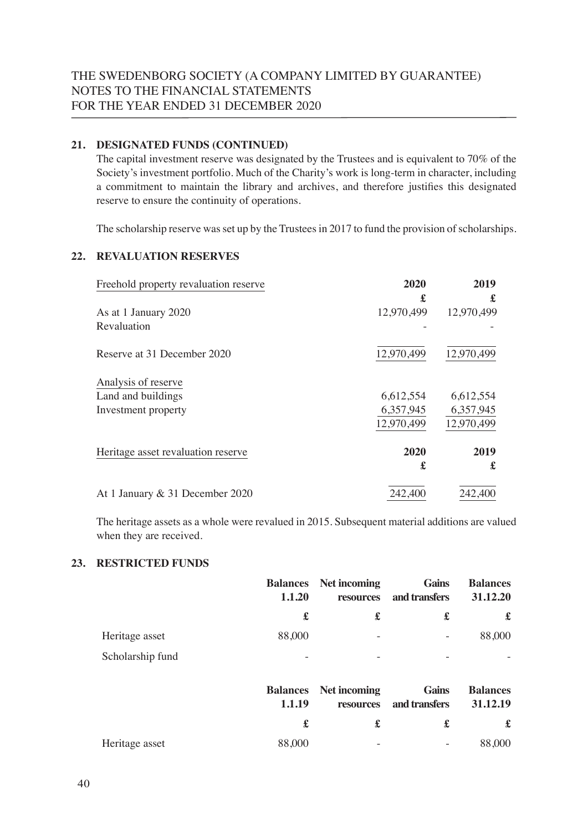### **21. Designated Funds (CONTINUED)**

The capital investment reserve was designated by the Trustees and is equivalent to 70% of the Society's investment portfolio. Much of the Charity's work is long-term in character, including a commitment to maintain the library and archives, and therefore justifies this designated reserve to ensure the continuity of operations.

The scholarship reserve was set up by the Trustees in 2017 to fund the provision of scholarships.

### **22. REVALUATION RESERVES**

| Freehold property revaluation reserve | 2020<br>£  | 2019<br>£  |
|---------------------------------------|------------|------------|
| As at 1 January 2020                  | 12,970,499 | 12,970,499 |
| Revaluation                           |            |            |
| Reserve at 31 December 2020           | 12,970,499 | 12,970,499 |
| Analysis of reserve                   |            |            |
| Land and buildings                    | 6,612,554  | 6,612,554  |
| Investment property                   | 6,357,945  | 6,357,945  |
|                                       | 12,970,499 | 12,970,499 |
| Heritage asset revaluation reserve    | 2020       | 2019       |
|                                       | £          | £          |
| At 1 January & 31 December 2020       | 242,400    | 242,400    |

The heritage assets as a whole were revalued in 2015. Subsequent material additions are valued when they are received.

### **23. Restricted FUNDS**

|                  | 1.1.20                    | <b>Balances</b> Net incoming<br>resources | <b>Gains</b><br>and transfers | <b>Balances</b><br>31.12.20 |
|------------------|---------------------------|-------------------------------------------|-------------------------------|-----------------------------|
|                  | £                         | £                                         | £                             | £                           |
| Heritage asset   | 88,000                    | -                                         |                               | 88,000                      |
| Scholarship fund |                           | $\overline{\phantom{0}}$                  |                               |                             |
|                  | <b>Balances</b><br>1.1.19 | Net incoming<br>resources                 | <b>Gains</b><br>and transfers | <b>Balances</b><br>31.12.19 |
|                  | £                         | £                                         | £                             | £                           |
| Heritage asset   | 88,000                    | $\overline{\phantom{a}}$                  |                               | 88,000                      |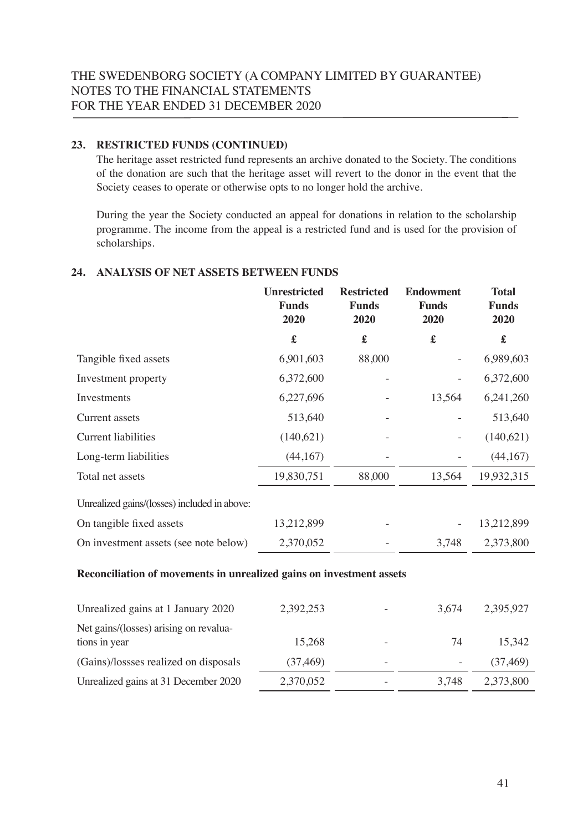### **23. Restricted FUNDS (CONTINUED)**

The heritage asset restricted fund represents an archive donated to the Society. The conditions of the donation are such that the heritage asset will revert to the donor in the event that the Society ceases to operate or otherwise opts to no longer hold the archive.

During the year the Society conducted an appeal for donations in relation to the scholarship programme. The income from the appeal is a restricted fund and is used for the provision of scholarships.

### **24. ANALYSIS OF NET ASSETS BETWEEN FUNDS**

|                                                                      | <b>Unrestricted</b><br><b>Funds</b><br>2020 | <b>Restricted</b><br><b>Funds</b><br>2020 | <b>Endowment</b><br><b>Funds</b><br>2020 | <b>Total</b><br><b>Funds</b><br>2020 |
|----------------------------------------------------------------------|---------------------------------------------|-------------------------------------------|------------------------------------------|--------------------------------------|
|                                                                      | £                                           |                                           | $\mathbf f$                              | £                                    |
| Tangible fixed assets                                                | 6,901,603                                   | 88,000                                    |                                          | 6,989,603                            |
| Investment property                                                  | 6,372,600                                   |                                           |                                          | 6,372,600                            |
| Investments                                                          | 6,227,696                                   |                                           | 13,564                                   | 6,241,260                            |
| <b>Current</b> assets                                                | 513,640                                     |                                           |                                          | 513,640                              |
| <b>Current liabilities</b>                                           | (140,621)                                   |                                           |                                          | (140,621)                            |
| Long-term liabilities                                                | (44,167)                                    |                                           |                                          | (44,167)                             |
| Total net assets                                                     | 19,830,751                                  | 88,000                                    | 13,564                                   | 19,932,315                           |
| Unrealized gains/(losses) included in above:                         |                                             |                                           |                                          |                                      |
| On tangible fixed assets                                             | 13,212,899                                  |                                           |                                          | 13,212,899                           |
| On investment assets (see note below)                                | 2,370,052                                   |                                           | 3,748                                    | 2,373,800                            |
| Reconciliation of movements in unrealized gains on investment assets |                                             |                                           |                                          |                                      |
| Unrealized gains at 1 January 2020                                   | 2,392,253                                   |                                           | 3,674                                    | 2,395,927                            |
| Net gains/(losses) arising on revalua-<br>tions in year              | 15,268                                      |                                           | 74                                       | 15,342                               |

 $(Gains)/losses$  realized on disposals  $(37,469)$  - (37,469) Unrealized gains at 31 December 2020 2,370,052 - 3,748 2,373,800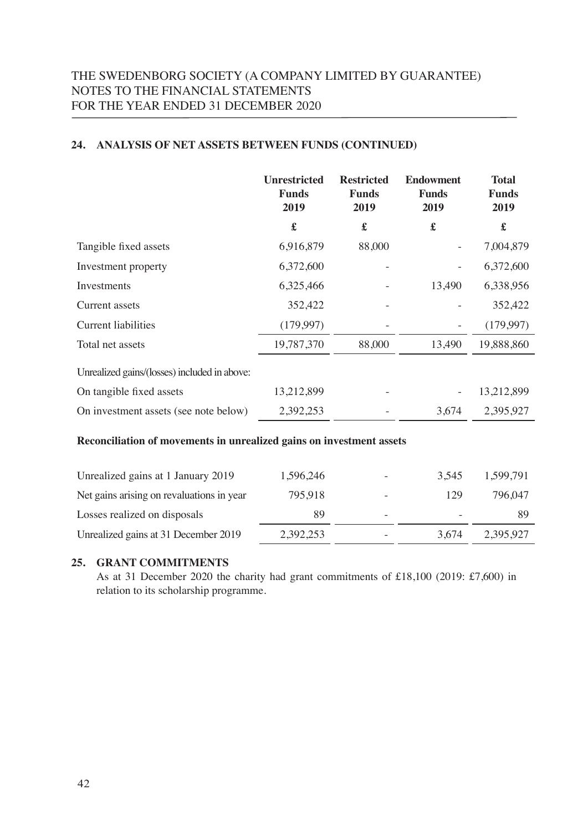# THE SWEDENBORG SOCIETY (A COMPANY LIMITED BY GUARANTEE) NOTES TO THE FINANCIAL STATEMENTS FOR THE YEAR ENDED 31 DECEMBER 2020

### **24. ANALYSIS OF NET ASSETS BETWEEN FUNDS (CONTINUED)**

|                                              | <b>Unrestricted</b><br><b>Funds</b><br>2019 | <b>Restricted</b><br><b>Funds</b><br>2019 | <b>Endowment</b><br><b>Funds</b><br>2019 | <b>Total</b><br><b>Funds</b><br>2019 |
|----------------------------------------------|---------------------------------------------|-------------------------------------------|------------------------------------------|--------------------------------------|
|                                              | $\pmb{\pmb{\pmb{\pmb{\xi}}}}$               | £                                         | $\pmb{\mathbf{f}}$                       | $\pmb{\mathbf{f}}$                   |
| Tangible fixed assets                        | 6,916,879                                   | 88,000                                    |                                          | 7,004,879                            |
| Investment property                          | 6,372,600                                   |                                           |                                          | 6,372,600                            |
| Investments                                  | 6,325,466                                   |                                           | 13,490                                   | 6,338,956                            |
| Current assets                               | 352,422                                     |                                           |                                          | 352,422                              |
| <b>Current liabilities</b>                   | (179,997)                                   |                                           |                                          | (179,997)                            |
| Total net assets                             | 19,787,370                                  | 88,000                                    | 13,490                                   | 19,888,860                           |
| Unrealized gains/(losses) included in above: |                                             |                                           |                                          |                                      |
| On tangible fixed assets                     | 13,212,899                                  |                                           |                                          | 13,212,899                           |
| On investment assets (see note below)        | 2,392,253                                   |                                           | 3,674                                    | 2,395,927                            |
|                                              |                                             |                                           |                                          |                                      |

### **Reconciliation of movements in unrealized gains on investment assets**

| Unrealized gains at 1 January 2019        | 1,596,246 |   | 3.545 | 1,599,791 |
|-------------------------------------------|-----------|---|-------|-----------|
| Net gains arising on revaluations in year | 795,918   |   | 129   | 796.047   |
| Losses realized on disposals              | 89        | - |       | 89        |
| Unrealized gains at 31 December 2019      | 2,392,253 |   | 3.674 | 2,395,927 |

### **25. GRANT COMMITMENTS**

As at 31 December 2020 the charity had grant commitments of £18,100 (2019: £7,600) in relation to its scholarship programme.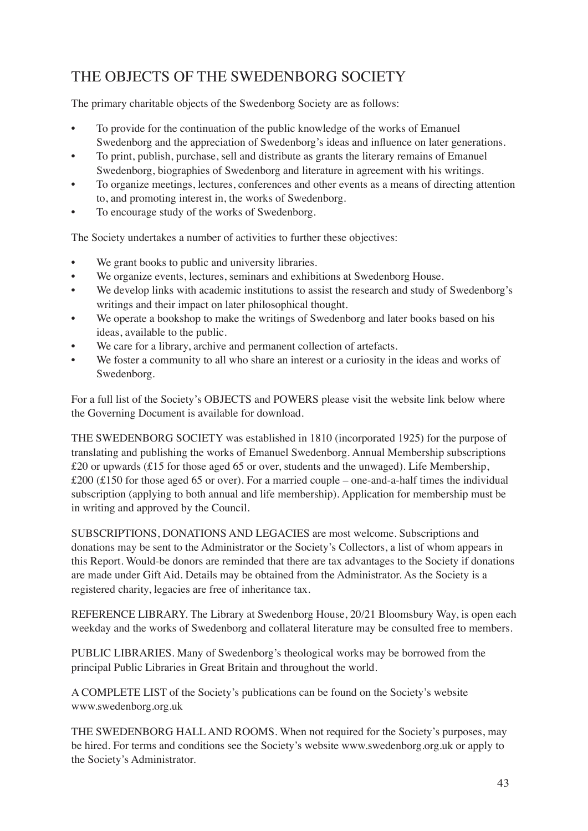# THE OBJECTS OF THE SWEDENBORG SOCIETY

The primary charitable objects of the Swedenborg Society are as follows:

- To provide for the continuation of the public knowledge of the works of Emanuel Swedenborg and the appreciation of Swedenborg's ideas and influence on later generations.
- To print, publish, purchase, sell and distribute as grants the literary remains of Emanuel Swedenborg, biographies of Swedenborg and literature in agreement with his writings.
- To organize meetings, lectures, conferences and other events as a means of directing attention to, and promoting interest in, the works of Swedenborg.
- To encourage study of the works of Swedenborg.

The Society undertakes a number of activities to further these objectives:

- We grant books to public and university libraries.
- We organize events, lectures, seminars and exhibitions at Swedenborg House.
- We develop links with academic institutions to assist the research and study of Swedenborg's writings and their impact on later philosophical thought.
- We operate a bookshop to make the writings of Swedenborg and later books based on his ideas, available to the public.
- We care for a library, archive and permanent collection of artefacts.
- We foster a community to all who share an interest or a curiosity in the ideas and works of Swedenborg.

For a full list of the Society's OBJECTS and POWERS please visit the website link below where the Governing Document is available for download.

THE SWEDENBORG SOCIETY was established in 1810 (incorporated 1925) for the purpose of translating and publishing the works of Emanuel Swedenborg. Annual Membership subscriptions £20 or upwards (£15 for those aged 65 or over, students and the unwaged). Life Membership,  $\text{\pounds}200$  ( $\text{\pounds}150$  for those aged 65 or over). For a married couple – one-and-a-half times the individual subscription (applying to both annual and life membership). Application for membership must be in writing and approved by the Council.

SUBSCRIPTIONS, DONATIONS AND LEGACIES are most welcome. Subscriptions and donations may be sent to the Administrator or the Society's Collectors, a list of whom appears in this Report. Would-be donors are reminded that there are tax advantages to the Society if donations are made under Gift Aid. Details may be obtained from the Administrator. As the Society is a registered charity, legacies are free of inheritance tax.

REFERENCE LIBRARY. The Library at Swedenborg House, 20/21 Bloomsbury Way, is open each weekday and the works of Swedenborg and collateral literature may be consulted free to members.

PUBLIC LIBRARIES. Many of Swedenborg's theological works may be borrowed from the principal Public Libraries in Great Britain and throughout the world.

A COMPLETE LIST of the Society's publications can be found on the Society's website www.swedenborg.org.uk

THE SWEDENBORG HALL AND ROOMS. When not required for the Society's purposes, may be hired. For terms and conditions see the Society's website www.swedenborg.org.uk or apply to the Society's Administrator.